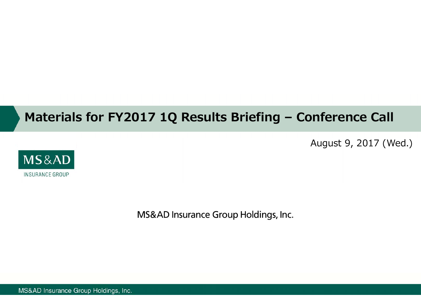# **Materials for FY2017 1Q Results Briefing – Conference Call**

August 9, 2017 (Wed.)



MS&AD Insurance Group Holdings, Inc.

MS&AD Insurance Group Holdings, Inc.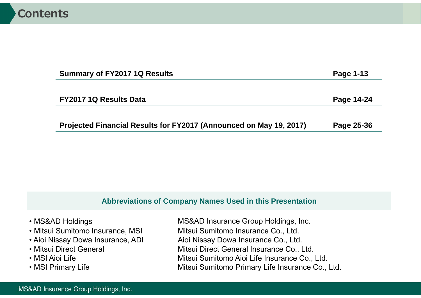| <b>Summary of FY2017 1Q Results</b>                                | Page 1-13  |
|--------------------------------------------------------------------|------------|
|                                                                    |            |
| <b>FY2017 1Q Results Data</b>                                      | Page 14-24 |
|                                                                    |            |
| Projected Financial Results for FY2017 (Announced on May 19, 2017) | Page 25-36 |

### **Abbreviations of Company Names Used in this Presentation**

| • MS&AD Holdings                  | MS&AD Insurance Group Holdings, Inc.             |
|-----------------------------------|--------------------------------------------------|
| • Mitsui Sumitomo Insurance, MSI  | Mitsui Sumitomo Insurance Co., Ltd.              |
| • Aioi Nissay Dowa Insurance, ADI | Aioi Nissay Dowa Insurance Co., Ltd.             |
| • Mitsui Direct General           | Mitsui Direct General Insurance Co., Ltd.        |
| • MSI Aioi Life                   | Mitsui Sumitomo Aioi Life Insurance Co., Ltd.    |
| • MSI Primary Life                | Mitsui Sumitomo Primary Life Insurance Co., Ltd. |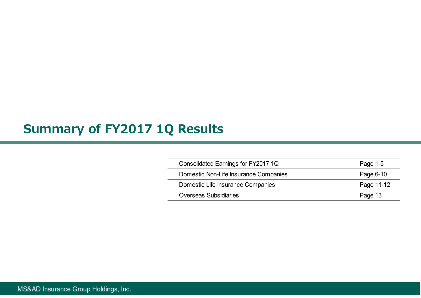# **Summary of FY2017 1Q Results**

| Consolidated Earnings for FY2017 1Q   | Page 1-5   |
|---------------------------------------|------------|
| Domestic Non-Life Insurance Companies | Page 6-10  |
| Domestic Life Insurance Companies     | Page 11-12 |
| <b>Overseas Subsidiaries</b>          | Page 13    |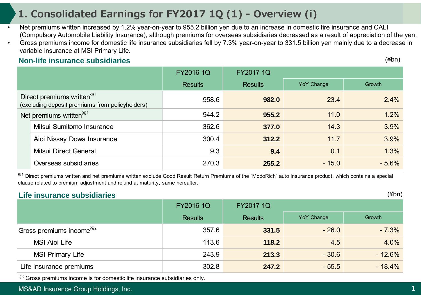# **1. Consolidated Earnings for FY2017 1Q (1) - Overview (i)**

- • Net premiums written increased by 1.2% year-on-year to 955.2 billion yen due to an increase in domestic fire insurance and CALI (Compulsory Automobile Liability Insurance), although premiums for overseas subsidiaries decreased as a result of appreciation of the yen.
- • Gross premiums income for domestic life insurance subsidiaries fell by 7.3% year-on-year to 331.5 billion yen mainly due to a decrease in variable insurance at MSI Primary Life.

#### **Non-life insurance subsidiaries**

(¥bn)

|                                     |                                                                                           | <b>FY2016 1Q</b> | <b>FY2017 1Q</b> |            |         |
|-------------------------------------|-------------------------------------------------------------------------------------------|------------------|------------------|------------|---------|
|                                     |                                                                                           | <b>Results</b>   | <b>Results</b>   | YoY Change | Growth  |
|                                     | Direct premiums written <sup>**1</sup><br>(excluding deposit premiums from policyholders) | 958.6            | 982.0            | 23.4       | 2.4%    |
| Net premiums written <sup>**1</sup> |                                                                                           | 944.2            | 955.2            | 11.0       | 1.2%    |
|                                     | Mitsui Sumitomo Insurance                                                                 | 362.6            | 377.0            | 14.3       | 3.9%    |
|                                     | Aioi Nissay Dowa Insurance                                                                | 300.4            | 312.2            | 11.7       | 3.9%    |
|                                     | Mitsui Direct General                                                                     | 9.3              | 9.4              | 0.1        | 1.3%    |
|                                     | Overseas subsidiaries                                                                     | 270.3            | 255.2            | $-15.0$    | $-5.6%$ |

<sup>※1</sup> Direct premiums written and net premiums written exclude Good Result Return Premiums of the "ModoRich" auto insurance product, which contains a special clause related to premium adjustment and refund at maturity, same hereafter.

#### **Life insurance subsidiaries**

(¥bn)

|                                      | <b>FY2016 1Q</b> | <b>FY2017 1Q</b> |                   |          |
|--------------------------------------|------------------|------------------|-------------------|----------|
|                                      | <b>Results</b>   | <b>Results</b>   | <b>YoY</b> Change | Growth   |
| Gross premiums income <sup>382</sup> | 357.6            | 331.5            | $-26.0$           | $-7.3%$  |
| <b>MSI Aioi Life</b>                 | 113.6            | 118.2            | 4.5               | 4.0%     |
| <b>MSI Primary Life</b>              | 243.9            | 213.3            | $-30.6$           | $-12.6%$ |
| Life insurance premiums              | 302.8            | 247.2            | $-55.5$           | $-18.4%$ |

※2 Gross premiums income is for domestic life insurance subsidiaries only.

MS&AD Insurance Group Holdings, Inc.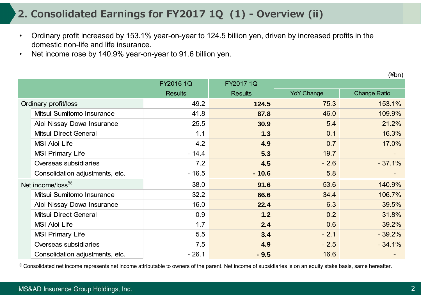# **2. Consolidated Earnings for FY2017 1Q (1) - Overview (ii)**

- • Ordinary profit increased by 153.1% year-on-year to 124.5 billion yen, driven by increased profits in the domestic non-life and life insurance.
- •Net income rose by 140.9% year-on-year to 91.6 billion yen.

(¥bn)

|                                 | FY2016 1Q      | FY2017 1Q      |                   |                     |
|---------------------------------|----------------|----------------|-------------------|---------------------|
|                                 | <b>Results</b> | <b>Results</b> | <b>YoY Change</b> | <b>Change Ratio</b> |
| Ordinary profit/loss            | 49.2           | 124.5          | 75.3              | 153.1%              |
| Mitsui Sumitomo Insurance       | 41.8           | 87.8           | 46.0              | 109.9%              |
| Aioi Nissay Dowa Insurance      | 25.5           | 30.9           | 5.4               | 21.2%               |
| Mitsui Direct General           | 1.1            | 1.3            | 0.1               | 16.3%               |
| <b>MSI Aioi Life</b>            | 4.2            | 4.9            | 0.7               | 17.0%               |
| <b>MSI Primary Life</b>         | $-14.4$        | 5.3            | 19.7              |                     |
| Overseas subsidiaries           | 7.2            | 4.5            | $-2.6$            | $-37.1%$            |
| Consolidation adjustments, etc. | $-16.5$        | $-10.6$        | 5.8               |                     |
| Net income/loss <sup>**</sup>   | 38.0           | 91.6           | 53.6              | 140.9%              |
| Mitsui Sumitomo Insurance       | 32.2           | 66.6           | 34.4              | 106.7%              |
| Aioi Nissay Dowa Insurance      | 16.0           | 22.4           | 6.3               | 39.5%               |
| Mitsui Direct General           | 0.9            | 1.2            | 0.2               | 31.8%               |
| <b>MSI Aioi Life</b>            | 1.7            | 2.4            | 0.6               | 39.2%               |
| <b>MSI Primary Life</b>         | 5.5            | 3.4            | $-2.1$            | $-39.2%$            |
| Overseas subsidiaries           | 7.5            | 4.9            | $-2.5$            | $-34.1%$            |
| Consolidation adjustments, etc. | $-26.1$        | $-9.5$         | 16.6              |                     |

※ Consolidated net income represents net income attributable to owners of the parent. Net income of subsidiaries is on an equity stake basis, same hereafter.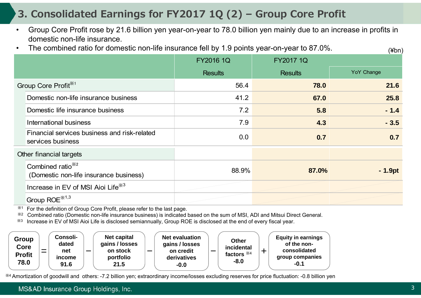# **3. Consolidated Earnings for FY2017 1Q (2) – Group Core Profit**

- $\bullet$  Group Core Profit rose by 21.6 billion yen year-on-year to 78.0 billion yen mainly due to an increase in profits in domestic non-life insurance.
- •The combined ratio for domestic non-life insurance fell by 1.9 points year-on-year to 87.0%.

|                                                                         | <b>FY2016 1Q</b> | <b>FY2017 1Q</b> |            |
|-------------------------------------------------------------------------|------------------|------------------|------------|
|                                                                         | <b>Results</b>   | <b>Results</b>   | YoY Change |
| Group Core Profit <sup>*1</sup>                                         | 56.4             | 78.0             | 21.6       |
| Domestic non-life insurance business                                    | 41.2             | 67.0             | 25.8       |
| Domestic life insurance business                                        | 7.2              | 5.8              | $-1.4$     |
| International business                                                  | 7.9              | 4.3              | $-3.5$     |
| Financial services business and risk-related<br>services business       | 0.0              | 0.7              | 0.7        |
| Other financial targets                                                 |                  |                  |            |
| Combined ratio <sup>362</sup><br>(Domestic non-life insurance business) | 88.9%            | 87.0%            | $-1.9pt$   |
| Increase in EV of MSI Aioi Life <sup>363</sup>                          |                  |                  |            |
| $G$ roup ROE $*$ <sup>1,3</sup>                                         |                  |                  |            |

※1For the definition of Group Core Profit, please refer to the last page.

※2Combined ratio (Domestic non-life insurance business) is indicated based on the sum of MSI, ADI and Mitsui Direct General.

※3 Increase in EV of MSI Aioi Life is disclosed semiannually, Group ROE is disclosed at the end of every fiscal year.



※4 Amortization of goodwill and others: -7.2 billion yen; extraordinary income/losses excluding reserves for price fluctuation: -0.8 billion yen

#### MS&AD Insurance Group Holdings, Inc.

 $(\nexists h n)$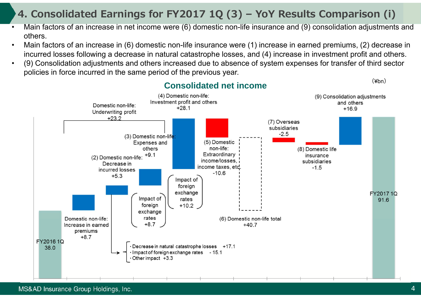# **4. Consolidated Earnings for FY2017 1Q (3) – YoY Results Comparison (i)**

- • Main factors of an increase in net income were (6) domestic non-life insurance and (9) consolidation adjustments and others.
- • Main factors of an increase in (6) domestic non-life insurance were (1) increase in earned premiums, (2) decrease in incurred losses following a decrease in natural catastrophe losses, and (4) increase in investment profit and others.
- • (9) Consolidation adjustments and others increased due to absence of system expenses for transfer of third sector policies in force incurred in the same period of the previous year.

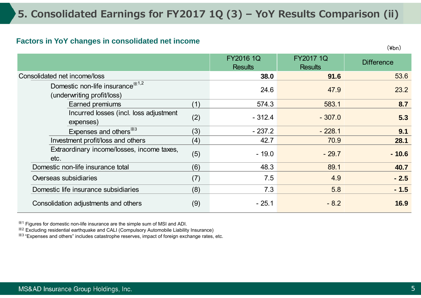#### **Factors in YoY changes in consolidated net income**

(¥bn)

|                                                                            |     | <b>FY2016 1Q</b><br><b>Results</b> | <b>FY2017 1Q</b><br><b>Results</b> | <b>Difference</b> |
|----------------------------------------------------------------------------|-----|------------------------------------|------------------------------------|-------------------|
| Consolidated net income/loss                                               |     | 38.0                               | 91.6                               | 53.6              |
| Domestic non-life insurance <sup>**1,2</sup><br>(underwriting profit/loss) |     | 24.6                               | 47.9                               | 23.2              |
| Earned premiums                                                            | (1) | 574.3                              | 583.1                              | 8.7               |
| Incurred losses (incl. loss adjustment<br>expenses)                        | (2) | $-312.4$                           | $-307.0$                           | 5.3               |
| Expenses and others <sup>33</sup>                                          | (3) | $-237.2$                           | $-228.1$                           | 9.1               |
| Investment profit/loss and others                                          | (4) | 42.7                               | 70.9                               | 28.1              |
| Extraordinary income/losses, income taxes,<br>etc.                         | (5) | $-19.0$                            | $-29.7$                            | $-10.6$           |
| Domestic non-life insurance total                                          | (6) | 48.3                               | 89.1                               | 40.7              |
| Overseas subsidiaries                                                      | (7) | 7.5                                | 4.9                                | $-2.5$            |
| Domestic life insurance subsidiaries                                       | (8) | 7.3                                | 5.8                                | $-1.5$            |
| Consolidation adjustments and others                                       | (9) | $-25.1$                            | $-8.2$                             | 16.9              |

 $*1$  Figures for domestic non-life insurance are the simple sum of MSI and ADI.

 $*$ <sup>2</sup> Excluding residential earthquake and CALI (Compulsory Automobile Liability Insurance)

※3 "Expenses and others" includes catastrophe reserves, impact of foreign exchange rates, etc.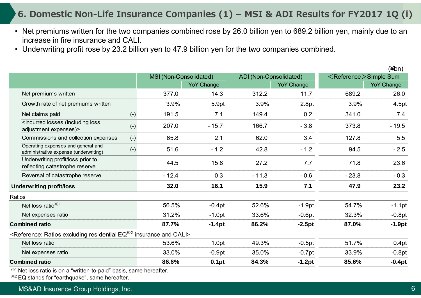### **6. Domestic Non-Life Insurance Companies (1) – MSI & ADI Results for FY2017 1Q (i)**

- Net premiums written for the two companies combined rose by 26.0 billion yen to 689.2 billion yen, mainly due to an increase in fire insurance and CALI.
- Underwriting profit rose by 23.2 billion yen to 47.9 billion yen for the two companies combined.

|        |                                                                                                                                 |       |                        |                   |                        |                   |                                   | $(\n 4bn)$        |
|--------|---------------------------------------------------------------------------------------------------------------------------------|-------|------------------------|-------------------|------------------------|-------------------|-----------------------------------|-------------------|
|        |                                                                                                                                 |       | MSI (Non-Consolidated) |                   | ADI (Non-Consolidated) |                   | <reference>Simple Sum</reference> |                   |
|        |                                                                                                                                 |       |                        | <b>YoY Change</b> |                        | <b>YoY Change</b> |                                   | <b>YoY Change</b> |
|        | Net premiums written                                                                                                            |       | 377.0                  | 14.3              | 312.2                  | 11.7              | 689.2                             | 26.0              |
|        | Growth rate of net premiums written                                                                                             |       | 3.9%                   | 5.9pt             | 3.9%                   | 2.8pt             | 3.9%                              | 4.5pt             |
|        | Net claims paid                                                                                                                 | $(-)$ | 191.5                  | 7.1               | 149.4                  | 0.2               | 341.0                             | 7.4               |
|        | <lncurred (including="" loss<br="" losses="">adjustment expenses)&gt;</lncurred>                                                | $(-)$ | 207.0                  | $-15.7$           | 166.7                  | $-3.8$            | 373.8                             | $-19.5$           |
|        | Commissions and collection expenses                                                                                             | $(-)$ | 65.8                   | 2.1               | 62.0                   | 3.4               | 127.8                             | 5.5               |
|        | Operating expenses and general and<br>administrative expense (underwriting)                                                     | $(-)$ | 51.6                   | $-1.2$            | 42.8                   | $-1.2$            | 94.5                              | $-2.5$            |
|        | Underwriting profit/loss prior to<br>reflecting catastrophe reserve                                                             |       | 44.5                   | 15.8              | 27.2                   | 7.7               | 71.8                              | 23.6              |
|        | Reversal of catastrophe reserve                                                                                                 |       | $-12.4$                | 0.3               | $-11.3$                | $-0.6$            | $-23.8$                           | $-0.3$            |
|        | <b>Underwriting profit/loss</b>                                                                                                 |       | 32.0                   | 16.1              | 15.9                   | 7.1               | 47.9                              | 23.2              |
| Ratios |                                                                                                                                 |       |                        |                   |                        |                   |                                   |                   |
|        | Net loss ratio <sup>**1</sup>                                                                                                   |       | 56.5%                  | $-0.4pt$          | 52.6%                  | $-1.9pt$          | 54.7%                             | $-1.1$ pt         |
|        | Net expenses ratio                                                                                                              |       | 31.2%                  | $-1.0pt$          | 33.6%                  | $-0.6pt$          | 32.3%                             | $-0.8pt$          |
|        | <b>Combined ratio</b>                                                                                                           |       | 87.7%                  | $-1.4pt$          | 86.2%                  | $-2.5pt$          | 87.0%                             | $-1.9pt$          |
|        | <reference: <math="" excluding="" ratios="" residential="">EQ^{2/2} insurance and CALI&gt;</reference:>                         |       |                        |                   |                        |                   |                                   |                   |
|        | Net loss ratio                                                                                                                  |       | 53.6%                  | 1.0pt             | 49.3%                  | $-0.5pt$          | 51.7%                             | 0.4pt             |
|        | Net expenses ratio                                                                                                              |       | 33.0%                  | $-0.9pt$          | 35.0%                  | $-0.7$ pt         | 33.9%                             | $-0.8pt$          |
|        | <b>Combined ratio</b>                                                                                                           |       | 86.6%                  | 0.1pt             | 84.3%                  | $-1.2pt$          | 85.6%                             | $-0.4pt$          |
|        | $\mathbf{M}$ that is a constant of the second constant of the second state in the second state of the second state $\mathbf{M}$ |       |                        |                   |                        |                   |                                   |                   |

※1 Net loss ratio is on a "written-to-paid" basis, same hereafter.

※2 EQ stands for "earthquake", same hereafter.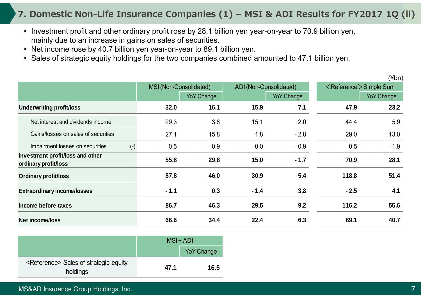### **7. Domestic Non-Life Insurance Companies (1) – MSI & ADI Results for FY2017 1Q (ii)**

- Investment profit and other ordinary profit rose by 28.1 billion yen year-on-year to 70.9 billion yen, mainly due to an increase in gains on sales of securities.
- Net income rose by 40.7 billion yen year-on-year to 89.1 billion yen.
- Sales of strategic equity holdings for the two companies combined amounted to 47.1 billion yen.

|                                                          |        |                        |        |                        |        | $(\n  4bn)$                       |
|----------------------------------------------------------|--------|------------------------|--------|------------------------|--------|-----------------------------------|
|                                                          |        | MSI (Non-Consolidated) |        | ADI (Non-Consolidated) |        | <reference>Simple Sum</reference> |
|                                                          |        | <b>YoY Change</b>      |        | <b>YoY Change</b>      |        | <b>YoY Change</b>                 |
| <b>Underwriting profit/loss</b>                          | 32.0   | 16.1                   | 15.9   | 7.1                    | 47.9   | 23.2                              |
| Net interest and dividends income                        | 29.3   | 3.8                    | 15.1   | 2.0                    | 44.4   | 5.9                               |
| Gains/losses on sales of securities                      | 27.1   | 15.8                   | 1.8    | $-2.8$                 | 29.0   | 13.0                              |
| $(-)$<br>Impairment losses on securities                 | 0.5    | $-0.9$                 | 0.0    | $-0.9$                 | 0.5    | $-1.9$                            |
| Investment profit/loss and other<br>ordinary profit/loss | 55.8   | 29.8                   | 15.0   | $-1.7$                 | 70.9   | 28.1                              |
| <b>Ordinary profit/loss</b>                              | 87.8   | 46.0                   | 30.9   | 5.4                    | 118.8  | 51.4                              |
| <b>Extraordinary income/losses</b>                       | $-1.1$ | 0.3                    | $-1.4$ | 3.8                    | $-2.5$ | 4.1                               |
| Income before taxes                                      | 86.7   | 46.3                   | 29.5   | 9.2                    | 116.2  | 55.6                              |
| Net income/loss                                          | 66.6   | 34.4                   | 22.4   | 6.3                    | 89.1   | 40.7                              |

|                                                                | $MSI + ADI$ |                   |
|----------------------------------------------------------------|-------------|-------------------|
|                                                                |             | <b>YoY Change</b> |
| <reference> Sales of strategic equity<br/>holdings</reference> | 47.1        | 16.5              |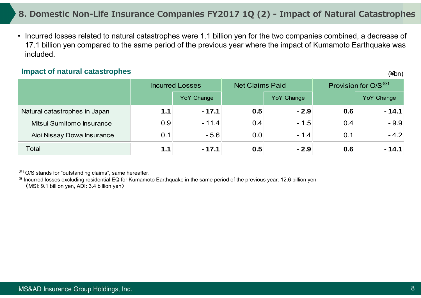### **8. Domestic Non-Life Insurance Companies FY2017 1Q (2) - Impact of Natural Catastrophes**

• Incurred losses related to natural catastrophes were 1.1 billion yen for the two companies combined, a decrease of 17.1 billion yen compared to the same period of the previous year where the impact of Kumamoto Earthquake was included.

#### **Impact of natural catastrophes**

Incurred Losses Net Claims Paid Provision for  $O/S^{\times 1}$ YoY Change **You Change** YoY Change **YoY Change** YoY Change Natural catastrophes in Japan **1.1 - 17.1 0.5 - 2.9 0.6 - 14.1** Mitsui Sumitomo Insurance 0.9 - 11.4 0.4 - 1.5 0.4 - 9.9 Aioi Nissay Dowa Insurance  $\begin{array}{cccc} \vert & 0.1 \vert & 0.5.6 & 0.0 \vert & -1.4 \vert & 0.1 \vert & -4.2 \end{array}$ **Total 1.1 - 17.1 0.5 - 2.9 0.6 - 14.1**

※1 O/S stands for "outstanding claims", same hereafter.

※ Incurred losses excluding residential EQ for Kumamoto Earthquake in the same period of the previous year: 12.6 billion yen (MSI: 9.1 billion yen, ADI: 3.4 billion yen)

(¥bn)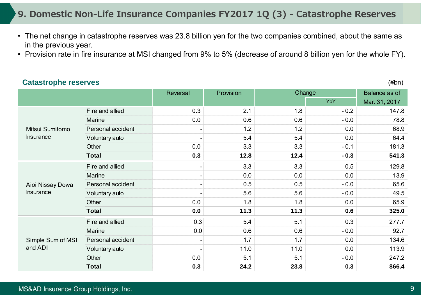### **9. Domestic Non-Life Insurance Companies FY2017 1Q (3) - Catastrophe Reserves**

- The net change in catastrophe reserves was 23.8 billion yen for the two companies combined, about the same as in the previous year.
- Provision rate in fire insurance at MSI changed from 9% to 5% (decrease of around 8 billion yen for the whole FY).

#### **Catastrophe reserves** Reversal Provision Provision Balance as of YoY Mar. 31, 2017 Fire and allied 147.8 Marine 0.0 0.6 0.6 - 0.0 78.8 Personal accident 1.2 1.2 1.2 1.2 0.0 68.9 Voluntary auto - 5.4 5.4 0.0 64.4 Other 0.0 l 3.3 l 3.3 l -0.1 l 181.3 181.3 **Total 0.3 12.8 12.4 - 0.3 541.3** Fire and allied  $\qquad \qquad - \qquad \qquad 3.3$   $\qquad \qquad 3.3$   $\qquad \qquad 0.5$   $\qquad \qquad 129.8$ Marine - 13.9 and 13.9 Personal accident - Personal accident - 0.5 0.5 0.5 - 0.0 65.6 Voluntary auto **1988** - 1991 - 1992 - 1993 - 1994 - 1995 - 1994 - 1995 - 1994 - 1995 - 1996 - 1996 - 1996 - 1996 - 1996 - 1996 - 1996 - 1996 - 1997 - 1996 - 1997 - 1997 - 1997 - 1998 - 1998 - 1998 - 1998 - 1998 - 1998 - 19 Other 0.0 l 1.8 l 1.8 l 0.0 l 65.9 l **Total 0.0 11.3 11.3 0.6 325.0** Fire and allied 0.3 0.3 5.4 5.1 0.3 0.3 277.7 Marine 0.0 0.6 0.6 - 0.0 92.7 Personal accident 1.7 1.7 1.7 1.7 0.0 134.6 Voluntary auto 113.9 Other 247.2 **Total 0.3 24.2 23.8 0.3 866.4 Change** Mitsui SumitomoInsuranceSimple Sum of MSI and ADIAioi Nissay Dowa Insurance

#### MS&AD Insurance Group Holdings, Inc.

(¥bn)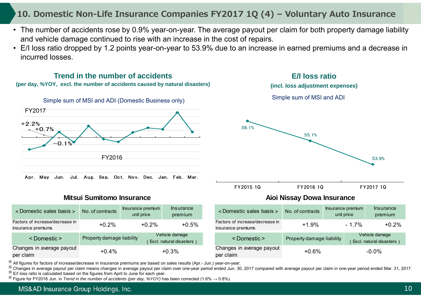### **10. Domestic Non-Life Insurance Companies FY2017 1Q (4) – Voluntary Auto Insurance**

- The number of accidents rose by 0.9% year-on-year. The average payout per claim for both property damage liability and vehicle damage continued to rise with an increase in the cost of repairs.
- E/I loss ratio dropped by 1.2 points year-on-year to 53.9% due to an increase in earned premiums and a decrease in incurred losses.



※ All figures for factors of increase/decrease in insurance premiums are based on sales results (Apr.- Jun.) year-on-year. ※

Changes in average payout per claim means changes in average payout per claim over one-year period ended Jun. 30, 2017 compared with average payout per claim in one-year period ended Mar. 31, 2017. ※

E/I loss ratio is calculated based on the figures from April to June for each year. ※

 $\%$  Figure for FY2016 Jun. in *Trend in the number of accidents (per day, %YOY)* has been corrected (1.6%  $\rightarrow$  0.8%).

#### MS&AD Insurance Group Holdings, Inc.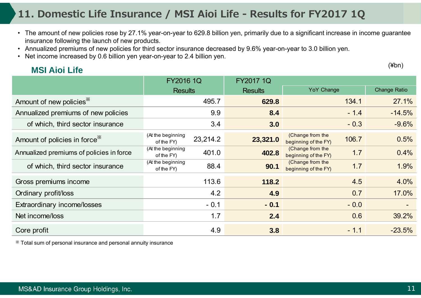# **11. Domestic Life Insurance / MSI Aioi Life - Results for FY2017 1Q**

- The amount of new policies rose by 27.1% year-on-year to 629.8 billion yen, primarily due to a significant increase in income guarantee insurance following the launch of new products.
- Annualized premiums of new policies for third sector insurance decreased by 9.6% year-on-year to 3.0 billion yen.
- Net income increased by 0.6 billion yen year-on-year to 2.4 billion yen.

### **MSI Aioi Life**

(¥bn)

|                                           | <b>FY2016 1Q</b><br><b>Results</b>          | <b>FY2017 1Q</b><br><b>Results</b> | YoY Change                                        | <b>Change Ratio</b> |
|-------------------------------------------|---------------------------------------------|------------------------------------|---------------------------------------------------|---------------------|
| Amount of new policies <sup>*</sup>       | 495.7                                       | 629.8                              | 134.1                                             | 27.1%               |
| Annualized premiums of new policies       | 9.9                                         | 8.4                                | $-1.4$                                            | $-14.5%$            |
| of which, third sector insurance          | 3.4                                         | 3.0                                | $-0.3$                                            | $-9.6%$             |
| Amount of policies in force <sup>**</sup> | (At the beginning<br>23,214.2<br>of the FY) | 23,321.0                           | (Change from the<br>106.7<br>beginning of the FY) | 0.5%                |
| Annualized premiums of policies in force  | (At the beginning<br>401.0<br>of the FY)    | 402.8                              | (Change from the<br>1.7<br>beginning of the FY)   | 0.4%                |
| of which, third sector insurance          | (At the beginning<br>88.4<br>of the FY)     | 90.1                               | (Change from the<br>1.7<br>beginning of the FY)   | 1.9%                |
| Gross premiums income                     | 113.6                                       | 118.2                              | 4.5                                               | 4.0%                |
| Ordinary profit/loss                      | 4.2                                         | 4.9                                | 0.7                                               | 17.0%               |
| Extraordinary income/losses               | $-0.1$                                      | $-0.1$                             | $-0.0$                                            |                     |
| Net income/loss                           | 1.7                                         | 2.4                                | 0.6                                               | 39.2%               |
| Core profit                               | 4.9                                         | 3.8                                | $-1.1$                                            | $-23.5%$            |

※ Total sum of personal insurance and personal annuity insurance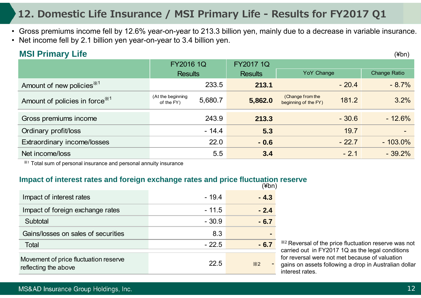# **12. Domestic Life Insurance / MSI Primary Life - Results for FY2017 Q1**

- Gross premiums income fell by 12.6% year-on-year to 213.3 billion yen, mainly due to a decrease in variable insurance.
- Net income fell by 2.1 billion yen year-on-year to 3.4 billion yen.

### **MSI Primary Life**

|                                            | <b>FY2016 1Q</b>                           | FY2017 1Q      |                                                   |                     |
|--------------------------------------------|--------------------------------------------|----------------|---------------------------------------------------|---------------------|
|                                            | <b>Results</b>                             | <b>Results</b> | <b>YoY Change</b>                                 | <b>Change Ratio</b> |
| Amount of new policies <sup>**1</sup>      | 233.5                                      | 213.1          | $-20.4$                                           | $-8.7%$             |
| Amount of policies in force <sup>**1</sup> | (At the beginning<br>5,680.7<br>of the FY) | 5,862.0        | (Change from the<br>181.2<br>beginning of the FY) | 3.2%                |
| Gross premiums income                      | 243.9                                      | 213.3          | $-30.6$                                           | $-12.6%$            |
| Ordinary profit/loss                       | $-14.4$                                    | 5.3            | 19.7                                              |                     |
| Extraordinary income/losses                | 22.0                                       | $-0.6$         | $-22.7$                                           | $-103.0\%$          |
| Net income/loss                            | 5.5                                        | 3.4            | $-2.1$                                            | $-39.2%$            |
|                                            |                                            |                |                                                   |                     |

※1 Total sum of personal insurance and personal annuity insurance

#### **Impact of interest rates and foreign exchange rates and price fluctuation reserve**

|                                                               |         | (¥bn)      |
|---------------------------------------------------------------|---------|------------|
| Impact of interest rates                                      | $-19.4$ | $-4.3$     |
| Impact of foreign exchange rates                              | $-11.5$ | $-2.4$     |
| Subtotal                                                      | $-30.9$ | $-6.7$     |
| Gains/losses on sales of securities                           | 8.3     |            |
| <b>Total</b>                                                  | $-22.5$ | - 6.7      |
| Movement of price fluctuation reserve<br>reflecting the above | 22.5    | $\times 2$ |

※2 Reversal of the price fluctuation reserve was not carried out in FY2017 1Q as the legal conditions for reversal were not met because of valuation gains on assets following a drop in Australian dollar interest rates.

(¥bn)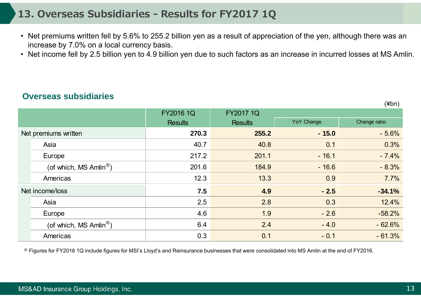### **13. Overseas Subsidiaries - Results for FY2017 1Q**

- Net premiums written fell by 5.6% to 255.2 billion yen as a result of appreciation of the yen, although there was an increase by 7.0% on a local currency basis.
- Net income fell by 2.5 billion yen to 4.9 billion yen due to such factors as an increase in incurred losses at MS Amlin.

#### **Overseas subsidiaries**

|                      |                                     | <b>FY2016 1Q</b> | <b>FY2017 1Q</b> |                   |              |
|----------------------|-------------------------------------|------------------|------------------|-------------------|--------------|
|                      |                                     | <b>Results</b>   | <b>Results</b>   | <b>YoY Change</b> | Change ratio |
| Net premiums written |                                     | 270.3            | 255.2            | $-15.0$           | $-5.6%$      |
|                      | Asia                                | 40.7             | 40.8             | 0.1               | 0.3%         |
|                      | Europe                              | 217.2            | 201.1            | $-16.1$           | $-7.4%$      |
|                      | (of which, MS Amlin <sup>**</sup> ) | 201.6            | 184.9            | $-16.6$           | $-8.3%$      |
|                      | Americas                            | 12.3             | 13.3             | 0.9               | 7.7%         |
|                      | Net income/loss                     | 7.5              | 4.9              | $-2.5$            | $-34.1%$     |
|                      | Asia                                | 2.5              | 2.8              | 0.3               | 12.4%        |
|                      | Europe                              | 4.6              | 1.9              | $-2.6$            | $-58.2%$     |
|                      | (of which, MS Amlin <sup>**</sup> ) | 6.4              | 2.4              | $-4.0$            | $-62.6%$     |
|                      | Americas                            | 0.3              | 0.1              | $-0.1$            | $-61.3%$     |

※ Figures for FY2016 1Q include figures for MSI's Lloyd's and Reinsurance businesses that were consolidated into MS Amlin at the end of FY2016.

(¥bn)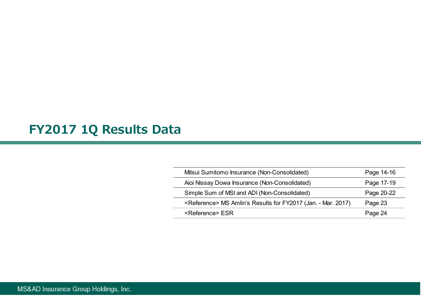# **FY2017 1Q Results Data**

| Mitsui Sumitomo Insurance (Non-Consolidated)                             | Page 14-16 |
|--------------------------------------------------------------------------|------------|
| Aioi Nissay Dowa Insurance (Non-Consolidated)                            | Page 17-19 |
| Simple Sum of MSI and ADI (Non-Consolidated)                             | Page 20-22 |
| <reference> MS Amlin's Results for FY2017 (Jan. - Mar. 2017)</reference> | Page 23    |
| <reference> ESR</reference>                                              | Page 24    |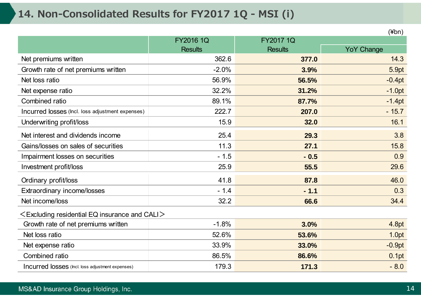# **14. Non-Consolidated Results for FY2017 1Q - MSI (i)**

|                                                        |                  |                | $(\n  4bn)$       |
|--------------------------------------------------------|------------------|----------------|-------------------|
|                                                        | <b>FY2016 1Q</b> | FY2017 1Q      |                   |
|                                                        | <b>Results</b>   | <b>Results</b> | <b>YoY Change</b> |
| Net premiums written                                   | 362.6            | 377.0          | 14.3              |
| Growth rate of net premiums written                    | $-2.0%$          | 3.9%           | 5.9pt             |
| Net loss ratio                                         | 56.9%            | 56.5%          | $-0.4pt$          |
| Net expense ratio                                      | 32.2%            | 31.2%          | $-1.0pt$          |
| Combined ratio                                         | 89.1%            | 87.7%          | $-1.4pt$          |
| Incurred losses (Incl. loss adjustment expenses)       | 222.7            | 207.0          | $-15.7$           |
| Underwriting profit/loss                               | 15.9             | 32.0           | 16.1              |
| Net interest and dividends income                      | 25.4             | 29.3           | 3.8               |
| Gains/losses on sales of securities                    | 11.3             | 27.1           | 15.8              |
| Impairment losses on securities                        | $-1.5$           | $-0.5$         | 0.9               |
| Investment profit/loss                                 | 25.9             | 55.5           | 29.6              |
| Ordinary profit/loss                                   | 41.8             | 87.8           | 46.0              |
| Extraordinary income/losses                            | $-1.4$           | $-1.1$         | 0.3               |
| Net income/loss                                        | 32.2             | 66.6           | 34.4              |
| $\leq$ Excluding residential EQ insurance and CALI $>$ |                  |                |                   |
| Growth rate of net premiums written                    | $-1.8%$          | 3.0%           | 4.8pt             |
| Net loss ratio                                         | 52.6%            | 53.6%          | 1.0pt             |
| Net expense ratio                                      | 33.9%            | 33.0%          | $-0.9pt$          |
| Combined ratio                                         | 86.5%            | 86.6%          | 0.1pt             |
| Incurred losses (Incl. loss adjustment expenses)       | 179.3            | 171.3          | $-8.0$            |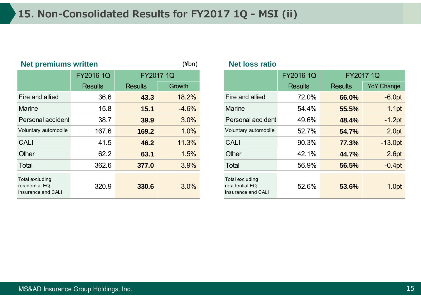| <b>Net premiums written</b>                             |                  | $(\n  4bn)$    | <b>Net loss ratio</b> |                                                         |                  |                |                   |
|---------------------------------------------------------|------------------|----------------|-----------------------|---------------------------------------------------------|------------------|----------------|-------------------|
|                                                         | <b>FY2016 1Q</b> | FY2017 1Q      |                       |                                                         | <b>FY2016 1Q</b> | FY2017 1Q      |                   |
|                                                         | <b>Results</b>   | <b>Results</b> | Growth                |                                                         | <b>Results</b>   | <b>Results</b> | <b>YoY Change</b> |
| Fire and allied                                         | 36.6             | 43.3           | 18.2%                 | Fire and allied                                         | 72.0%            | 66.0%          | $-6.0pt$          |
| <b>Marine</b>                                           | 15.8             | 15.1           | $-4.6%$               | <b>Marine</b>                                           | 54.4%            | 55.5%          | 1.1pt             |
| Personal accident                                       | 38.7             | 39.9           | 3.0%                  | Personal accident                                       | 49.6%            | 48.4%          | $-1.2pt$          |
| Voluntary automobile                                    | 167.6            | 169.2          | 1.0%                  | Voluntary automobile                                    | 52.7%            | 54.7%          | 2.0pt             |
| <b>CALI</b>                                             | 41.5             | 46.2           | 11.3%                 | <b>CALI</b>                                             | 90.3%            | 77.3%          | $-13.0pt$         |
| Other                                                   | 62.2             | 63.1           | 1.5%                  | <b>Other</b>                                            | 42.1%            | 44.7%          | 2.6pt             |
| Total                                                   | 362.6            | 377.0          | 3.9%                  | Total                                                   | 56.9%            | 56.5%          | $-0.4pt$          |
| Total excluding<br>residential EQ<br>insurance and CALI | 320.9            | 330.6          | 3.0%                  | Total excluding<br>residential EQ<br>insurance and CALI | 52.6%            | 53.6%          | 1.0pt             |

### **Net loss ratio**

|                                     | FY2016 1Q      |                | FY2017 1Q |  |                                                         | <b>FY2016 1Q</b> | FY2017 1Q      |                   |  |
|-------------------------------------|----------------|----------------|-----------|--|---------------------------------------------------------|------------------|----------------|-------------------|--|
|                                     | <b>Results</b> | <b>Results</b> | Growth    |  |                                                         | <b>Results</b>   | <b>Results</b> | <b>YoY Change</b> |  |
| nd allied                           | 36.6           | 43.3           | 18.2%     |  | Fire and allied                                         | 72.0%            | 66.0%          | $-6.0pt$          |  |
| e                                   | 15.8           | 15.1           | $-4.6%$   |  | <b>Marine</b>                                           | 54.4%            | 55.5%          | 1.1pt             |  |
| <sub>nal accident</sub>             | 38.7           | 39.9           | 3.0%      |  | Personal accident                                       | 49.6%            | 48.4%          | $-1.2pt$          |  |
| ary automobile                      | 167.6          | 169.2          | 1.0%      |  | Voluntary automobile                                    | 52.7%            | 54.7%          | 2.0pt             |  |
|                                     | 41.5           | 46.2           | 11.3%     |  | <b>CALI</b>                                             | 90.3%            | 77.3%          | $-13.0pt$         |  |
|                                     | 62.2           | 63.1           | 1.5%      |  | Other                                                   | 42.1%            | 44.7%          | 2.6pt             |  |
|                                     | 362.6          | 377.0          | 3.9%      |  | <b>Total</b>                                            | 56.9%            | 56.5%          | $-0.4pt$          |  |
| cluding<br>itial EQ<br>ice and CALI | 320.9          | 330.6          | 3.0%      |  | Total excluding<br>residential EQ<br>insurance and CALI | 52.6%            | 53.6%          | 1.0pt             |  |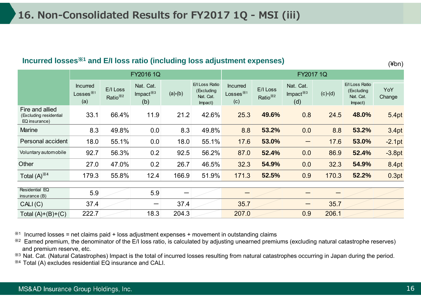#### **Incurred losses**※**<sup>1</sup> and E/I loss ratio (including loss adjustment expenses)**

(¥bn)

|                                                            |                                       |                                 | FY2016 1Q                       |           |                                                      | FY2017 1Q                                                     |                                  |                                 |           |                                                      |               |
|------------------------------------------------------------|---------------------------------------|---------------------------------|---------------------------------|-----------|------------------------------------------------------|---------------------------------------------------------------|----------------------------------|---------------------------------|-----------|------------------------------------------------------|---------------|
|                                                            | <b>Incurred</b><br>Losses $*1$<br>(a) | E/I Loss<br>Ratio <sup>※2</sup> | Nat. Cat.<br>Impact $*3$<br>(b) | $(a)-(b)$ | E/I Loss Ratio<br>(Excluding<br>Nat. Cat.<br>Impact) | <b>Incurred</b><br>$Losses$ <sup><math>%1</math></sup><br>(c) | E/I Loss<br>Ratio <sup>*/2</sup> | Nat. Cat.<br>Impact $*3$<br>(d) | $(c)-(d)$ | E/I Loss Ratio<br>(Excluding<br>Nat. Cat.<br>Impact) | YoY<br>Change |
| Fire and allied<br>(Excluding residential<br>EQ insurance) | 33.1                                  | 66.4%                           | 11.9                            | 21.2      | 42.6%                                                | 25.3                                                          | 49.6%                            | 0.8                             | 24.5      | 48.0%                                                | 5.4pt         |
| <b>Marine</b>                                              | 8.3                                   | 49.8%                           | 0.0                             | 8.3       | 49.8%                                                | 8.8                                                           | 53.2%                            | 0.0                             | 8.8       | 53.2%                                                | 3.4pt         |
| Personal accident                                          | 18.0                                  | 55.1%                           | 0.0                             | 18.0      | 55.1%                                                | 17.6                                                          | 53.0%                            | —                               | 17.6      | 53.0%                                                | $-2.1pt$      |
| Voluntary automobile                                       | 92.7                                  | 56.3%                           | 0.2                             | 92.5      | 56.2%                                                | 87.0                                                          | 52.4%                            | 0.0                             | 86.9      | 52.4%                                                | $-3.8pt$      |
| Other                                                      | 27.0                                  | 47.0%                           | 0.2                             | 26.7      | 46.5%                                                | 32.3                                                          | 54.9%                            | 0.0                             | 32.3      | 54.9%                                                | 8.4pt         |
| Total $(A)$ <sup><math>*4</math></sup>                     | 179.3                                 | 55.8%                           | 12.4                            | 166.9     | 51.9%                                                | 171.3                                                         | 52.5%                            | 0.9                             | 170.3     | 52.2%                                                | 0.3pt         |
|                                                            |                                       |                                 |                                 |           |                                                      |                                                               |                                  |                                 |           |                                                      |               |
| Residential EQ<br>insurance $(B)$                          | 5.9                                   |                                 | 5.9                             | —         |                                                      |                                                               |                                  |                                 |           |                                                      |               |
| CALI(C)                                                    | 37.4                                  |                                 | —                               | 37.4      |                                                      | 35.7                                                          |                                  |                                 | 35.7      |                                                      |               |
| Total $(A)+(B)+(C)$                                        | 222.7                                 |                                 | 18.3                            | 204.3     |                                                      | 207.0                                                         |                                  | 0.9                             | 206.1     |                                                      |               |

 $*1$  Incurred losses = net claims paid + loss adjustment expenses + movement in outstanding claims

<sup>32</sup> Earned premium, the denominator of the E/I loss ratio, is calculated by adjusting unearned premiums (excluding natural catastrophe reserves) and premium reserve, etc.

※3 Nat. Cat. (Natural Catastrophes) Impact is the total of incurred losses resulting from natural catastrophes occurring in Japan during the period.

※4 Total (A) excludes residential EQ insurance and CALI.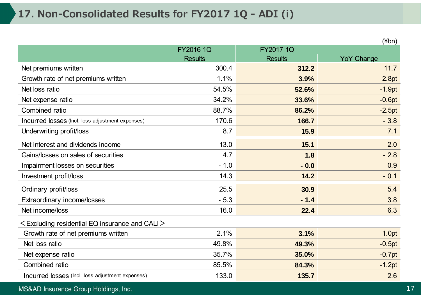# **17. Non-Consolidated Results for FY2017 1Q - ADI (i)**

|                                                        |                |                | (¥bn)             |
|--------------------------------------------------------|----------------|----------------|-------------------|
|                                                        | FY2016 1Q      | FY2017 1Q      |                   |
|                                                        | <b>Results</b> | <b>Results</b> | <b>YoY Change</b> |
| Net premiums written                                   | 300.4          | 312.2          | 11.7              |
| Growth rate of net premiums written                    | 1.1%           | 3.9%           | 2.8pt             |
| Net loss ratio                                         | 54.5%          | 52.6%          | $-1.9pt$          |
| Net expense ratio                                      | 34.2%          | 33.6%          | $-0.6pt$          |
| Combined ratio                                         | 88.7%          | 86.2%          | $-2.5pt$          |
| Incurred losses (Incl. loss adjustment expenses)       | 170.6          | 166.7          | $-3.8$            |
| Underwriting profit/loss                               | 8.7            | 15.9           | 7.1               |
| Net interest and dividends income                      | 13.0           | 15.1           | 2.0               |
| Gains/losses on sales of securities                    | 4.7            | 1.8            | $-2.8$            |
| Impairment losses on securities                        | $-1.0$         | $-0.0$         | 0.9               |
| Investment profit/loss                                 | 14.3           | 14.2           | $-0.1$            |
| Ordinary profit/loss                                   | 25.5           | 30.9           | 5.4               |
| Extraordinary income/losses                            | $-5.3$         | $-1.4$         | 3.8               |
| Net income/loss                                        | 16.0           | 22.4           | 6.3               |
| $\leq$ Excluding residential EQ insurance and CALI $>$ |                |                |                   |
| Growth rate of net premiums written                    | 2.1%           | 3.1%           | 1.0pt             |
| Net loss ratio                                         | 49.8%          | 49.3%          | $-0.5pt$          |
| Net expense ratio                                      | 35.7%          | 35.0%          | $-0.7pt$          |
| Combined ratio                                         | 85.5%          | 84.3%          | $-1.2pt$          |
| Incurred losses (Incl. loss adjustment expenses)       | 133.0          | 135.7          | 2.6               |

#### MS&AD Insurance Group Holdings, Inc.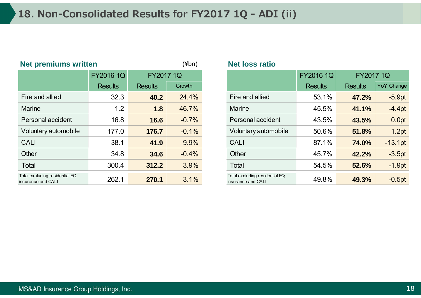| <b>Net premiums written</b>                          |                  |                  | $(\n  4bn)$ | <b>Net loss ratio</b>                                |                               |                |                   |
|------------------------------------------------------|------------------|------------------|-------------|------------------------------------------------------|-------------------------------|----------------|-------------------|
|                                                      | <b>FY2016 1Q</b> | <b>FY2017 1Q</b> |             |                                                      | <b>FY2016 1Q</b><br>FY2017 1Q |                |                   |
|                                                      | <b>Results</b>   | <b>Results</b>   | Growth      |                                                      | <b>Results</b>                | <b>Results</b> | <b>YoY Change</b> |
| Fire and allied                                      | 32.3             | 40.2             | 24.4%       | Fire and allied                                      | 53.1%                         | 47.2%          | $-5.9pt$          |
| <b>Marine</b>                                        | 1.2              | 1.8              | 46.7%       | <b>Marine</b>                                        | 45.5%                         | 41.1%          | $-4.4pt$          |
| Personal accident                                    | 16.8             | 16.6             | $-0.7%$     | Personal accident                                    | 43.5%                         | 43.5%          | 0.0pt             |
| Voluntary automobile                                 | 177.0            | 176.7            | $-0.1%$     | Voluntary automobile                                 | 50.6%                         | 51.8%          | 1.2pt             |
| <b>CALI</b>                                          | 38.1             | 41.9             | 9.9%        | <b>CALI</b>                                          | 87.1%                         | 74.0%          | $-13.1pt$         |
| Other                                                | 34.8             | 34.6             | $-0.4%$     | Other                                                | 45.7%                         | 42.2%          | $-3.5pt$          |
| Total                                                | 300.4            | 312.2            | 3.9%        | Total                                                | 54.5%                         | 52.6%          | $-1.9pt$          |
| Total excluding residential EQ<br>insurance and CALI | 262.1            | 270.1            | 3.1%        | Total excluding residential EQ<br>insurance and CALI | 49.8%                         | 49.3%          | $-0.5pt$          |

|                                       | <b>FY2016 1Q</b> | <b>FY2017 1Q</b> |         |                                                      | <b>FY2016 1Q</b> | <b>FY2017 1Q</b> |
|---------------------------------------|------------------|------------------|---------|------------------------------------------------------|------------------|------------------|
|                                       | <b>Results</b>   | <b>Results</b>   | Growth  |                                                      | <b>Results</b>   | <b>Results</b>   |
| and allied                            | 32.3             | 40.2             | 24.4%   | Fire and allied                                      | 53.1%            | 47.2%            |
| ne                                    | 1.2              | 1.8              | 46.7%   | <b>Marine</b>                                        | 45.5%            | 41.1%            |
| onal accident                         | 16.8             | 16.6             | $-0.7%$ | Personal accident                                    | 43.5%            | 43.5%            |
| ntary automobile                      | 177.0            | 176.7            | $-0.1%$ | Voluntary automobile                                 | 50.6%            | 51.8%            |
|                                       | 38.1             | 41.9             | 9.9%    | <b>CALI</b>                                          | 87.1%            | 74.0%            |
|                                       | 34.8             | 34.6             | $-0.4%$ | Other                                                | 45.7%            | 42.2%            |
|                                       | 300.4            | 312.2            | 3.9%    | Total                                                | 54.5%            | 52.6%            |
| cluding residential EQ<br>ce and CALI | 262.1            | 270.1            | 3.1%    | Total excluding residential EQ<br>insurance and CALI | 49.8%            | 49.3%            |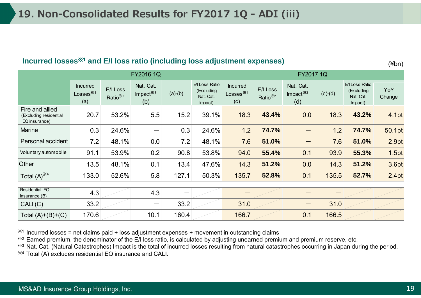#### **Incurred losses**※**<sup>1</sup> and E/I loss ratio (including loss adjustment expenses)**

(¥bn)

|                                                            |                                                          |                                  | FY2016 1Q                       |           |                                                      | FY2017 1Q                                              |                                  |                                 |           |                                                      |               |
|------------------------------------------------------------|----------------------------------------------------------|----------------------------------|---------------------------------|-----------|------------------------------------------------------|--------------------------------------------------------|----------------------------------|---------------------------------|-----------|------------------------------------------------------|---------------|
|                                                            | <b>Incurred</b><br>Losses ${}^{\divideontimes 1}$<br>(a) | E/I Loss<br>Ratio <sup>*/2</sup> | Nat. Cat.<br>Impact $*3$<br>(b) | $(a)-(b)$ | E/I Loss Ratio<br>(Excluding<br>Nat. Cat.<br>Impact) | <b>Incurred</b><br>Losses $^{\divideontimes 1}$<br>(c) | E/I Loss<br>Ratio <sup>*/2</sup> | Nat. Cat.<br>Impact $*3$<br>(d) | $(c)-(d)$ | E/I Loss Ratio<br>(Excluding<br>Nat. Cat.<br>Impact) | YoY<br>Change |
| Fire and allied<br>(Excluding residential<br>EQ insurance) | 20.7                                                     | 53.2%                            | 5.5                             | 15.2      | 39.1%                                                | 18.3                                                   | 43.4%                            | 0.0                             | 18.3      | 43.2%                                                | 4.1pt         |
| <b>Marine</b>                                              | 0.3                                                      | 24.6%                            | —                               | 0.3       | 24.6%                                                | 1.2                                                    | 74.7%                            |                                 | 1.2       | 74.7%                                                | 50.1pt        |
| Personal accident                                          | 7.2                                                      | 48.1%                            | 0.0                             | 7.2       | 48.1%                                                | 7.6                                                    | 51.0%                            |                                 | 7.6       | 51.0%                                                | 2.9pt         |
| Voluntary automobile                                       | 91.1                                                     | 53.9%                            | 0.2                             | 90.8      | 53.8%                                                | 94.0                                                   | 55.4%                            | 0.1                             | 93.9      | 55.3%                                                | 1.5pt         |
| Other                                                      | $13.5$                                                   | 48.1%                            | 0.1                             | 13.4      | 47.6%                                                | 14.3                                                   | 51.2%                            | 0.0                             | 14.3      | 51.2%                                                | 3.6pt         |
| Total $(A)$ <sup>*4</sup>                                  | 133.0                                                    | 52.6%                            | 5.8                             | 127.1     | 50.3%                                                | 135.7                                                  | 52.8%                            | 0.1                             | 135.5     | 52.7%                                                | 2.4pt         |
| Residential EQ                                             |                                                          |                                  |                                 |           |                                                      |                                                        |                                  |                                 |           |                                                      |               |
| insurance (B)                                              | 4.3                                                      |                                  | 4.3                             |           |                                                      |                                                        |                                  |                                 |           |                                                      |               |
| CALI(C)                                                    | 33.2                                                     |                                  |                                 | 33.2      |                                                      | 31.0                                                   |                                  |                                 | 31.0      |                                                      |               |
| Total $(A)+(B)+(C)$                                        | 170.6                                                    |                                  | 10.1                            | 160.4     |                                                      | 166.7                                                  |                                  | 0.1                             | 166.5     |                                                      |               |

 $*1$  Incurred losses = net claims paid + loss adjustment expenses + movement in outstanding claims

※2 Earned premium, the denominator of the E/I loss ratio, is calculated by adjusting unearned premium and premium reserve, etc.

※3 Nat. Cat. (Natural Catastrophes) Impact is the total of incurred losses resulting from natural catastrophes occurring in Japan during the period. ※4 Total (A) excludes residential EQ insurance and CALI.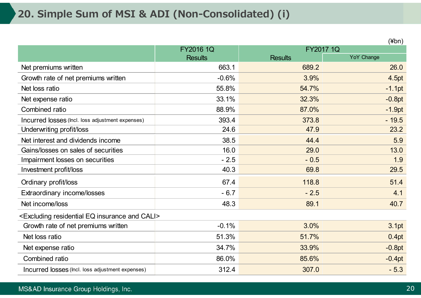# **20. Simple Sum of MSI & ADI (Non-Consolidated) (i)**

|                                                                          |                |                | (¥bn)             |
|--------------------------------------------------------------------------|----------------|----------------|-------------------|
|                                                                          | FY2016 1Q      |                | FY2017 1Q         |
|                                                                          | <b>Results</b> | <b>Results</b> | <b>YoY Change</b> |
| Net premiums written                                                     | 663.1          | 689.2          | 26.0              |
| Growth rate of net premiums written                                      | $-0.6%$        | 3.9%           | 4.5pt             |
| Net loss ratio                                                           | 55.8%          | 54.7%          | $-1.1pt$          |
| Net expense ratio                                                        | 33.1%          | 32.3%          | $-0.8pt$          |
| Combined ratio                                                           | 88.9%          | 87.0%          | $-1.9pt$          |
| Incurred losses (Incl. loss adjustment expenses)                         | 393.4          | 373.8          | $-19.5$           |
| Underwriting profit/loss                                                 | 24.6           | 47.9           | 23.2              |
| Net interest and dividends income                                        | 38.5           | 44.4           | 5.9               |
| Gains/losses on sales of securities                                      | 16.0           | 29.0           | 13.0              |
| Impairment losses on securities                                          | $-2.5$         | $-0.5$         | 1.9               |
| Investment profit/loss                                                   | 40.3           | 69.8           | 29.5              |
| Ordinary profit/loss                                                     | 67.4           | 118.8          | 51.4              |
| Extraordinary income/losses                                              | $-6.7$         | $-2.5$         | 4.1               |
| Net income/loss                                                          | 48.3           | 89.1           | 40.7              |
| <excluding and="" cali="" eq="" insurance="" residential=""></excluding> |                |                |                   |
| Growth rate of net premiums written                                      | $-0.1%$        | 3.0%           | 3.1pt             |
| Net loss ratio                                                           | 51.3%          | 51.7%          | 0.4pt             |
| Net expense ratio                                                        | 34.7%          | 33.9%          | $-0.8pt$          |
| Combined ratio                                                           | 86.0%          | 85.6%          | $-0.4pt$          |
| Incurred losses (Incl. loss adjustment expenses)                         | 312.4          | 307.0          | $-5.3$            |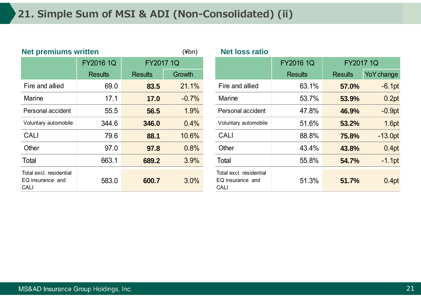| <b>Net premiums written</b>                                |                  | $(\n  4bn)$      |         | <b>Net loss ratio</b> |                                                            |                   |
|------------------------------------------------------------|------------------|------------------|---------|-----------------------|------------------------------------------------------------|-------------------|
|                                                            | <b>FY2016 1Q</b> | <b>FY2017 1Q</b> |         |                       |                                                            | <b>FY2016 1Q</b>  |
|                                                            | <b>Results</b>   | <b>Results</b>   | Growth  |                       |                                                            | <b>Results</b>    |
| Fire and allied                                            | 69.0             | 83.5             | 21.1%   |                       | Fire and allied                                            | $63.1^{\circ}$    |
| <b>Marine</b>                                              | 17.1             | 17.0             | $-0.7%$ |                       | <b>Marine</b>                                              | $53.7^{\circ}$    |
| Personal accident                                          | 55.5             | 56.5             | 1.9%    |                       | Personal accident                                          | 47.8              |
| Voluntary automobile                                       | 344.6            | 346.0            | 0.4%    |                       | Voluntary automobile                                       | $51.6^{\circ}$    |
| <b>CALI</b>                                                | 79.6             | 88.1             | 10.6%   |                       | <b>CALI</b>                                                | 88.8              |
| Other                                                      | 97.0             | 97.8             | 0.8%    |                       | Other                                                      | $43.4^{\circ}$    |
| <b>Total</b>                                               | 663.1            | 689.2            | 3.9%    |                       | Total                                                      | $55.8^{\circ}$    |
| Total excl. residential<br>EQ insurance and<br><b>CALI</b> | 583.0            | 600.7            | 3.0%    |                       | Total excl. residential<br>EQ insurance and<br><b>CALI</b> | 51.3 <sup>°</sup> |

| <u>net premiums written</u>                         |                  | (¥DN)            | Net loss ratio |                                                            |                  |                  |            |
|-----------------------------------------------------|------------------|------------------|----------------|------------------------------------------------------------|------------------|------------------|------------|
|                                                     | <b>FY2016 1Q</b> | <b>FY2017 1Q</b> |                |                                                            | <b>FY2016 1Q</b> | <b>FY2017 1Q</b> |            |
|                                                     | <b>Results</b>   | <b>Results</b>   | Growth         |                                                            | <b>Results</b>   | <b>Results</b>   | YoY change |
| Fire and allied                                     | 69.0             | 83.5             | 21.1%          | Fire and allied                                            | 63.1%            | 57.0%            | $-6.1pt$   |
| Marine                                              | 17.1             | 17.0             | $-0.7%$        | Marine                                                     | 53.7%            | 53.9%            | 0.2pt      |
| Personal accident                                   | 55.5             | 56.5             | 1.9%           | Personal accident                                          | 47.8%            | 46.9%            | $-0.9pt$   |
| Voluntary automobile                                | 344.6            | 346.0            | 0.4%           | Voluntary automobile                                       | 51.6%            | 53.2%            | 1.6pt      |
| <b>CALI</b>                                         | 79.6             | 88.1             | 10.6%          | <b>CALI</b>                                                | 88.8%            | 75.8%            | $-13.0pt$  |
| Other                                               | 97.0             | 97.8             | 0.8%           | Other                                                      | 43.4%            | 43.8%            | 0.4pt      |
| Total                                               | 663.1            | 689.2            | 3.9%           | Total                                                      | 55.8%            | 54.7%            | $-1.1$ pt  |
| Total excl. residential<br>EQ insurance and<br>CALI | 583.0            | 600.7            | 3.0%           | Total excl. residential<br>EQ insurance and<br><b>CALI</b> | 51.3%            | 51.7%            | 0.4pt      |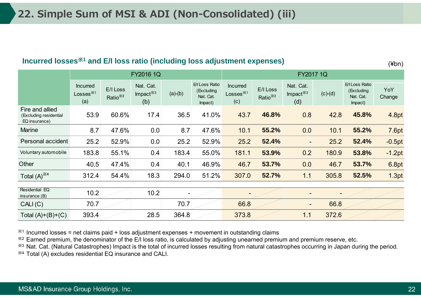#### **Incurred losses** ※**1 and E/I loss ratio (including loss adjustment expenses)**

(¥bn)

|                                                            | FY2016 1Q                             |                                  |                                 |           | FY2017 1Q                                            |                                                        |                                  |                                 |                   |                                                      |               |
|------------------------------------------------------------|---------------------------------------|----------------------------------|---------------------------------|-----------|------------------------------------------------------|--------------------------------------------------------|----------------------------------|---------------------------------|-------------------|------------------------------------------------------|---------------|
|                                                            | <b>Incurred</b><br>Losses $*1$<br>(a) | E/I Loss<br>Ratio <sup>*/2</sup> | Nat. Cat.<br>Impact $*3$<br>(b) | $(a)-(b)$ | E/I Loss Ratio<br>(Excluding<br>Nat. Cat.<br>Impact) | <b>Incurred</b><br>Losses $^{\divideontimes 1}$<br>(c) | E/I Loss<br>Ratio <sup>*/2</sup> | Nat. Cat.<br>Impact $*3$<br>(d) | $(c)-(d)$         | E/I Loss Ratio<br>(Excluding<br>Nat. Cat.<br>Impact) | YoY<br>Change |
| Fire and allied<br>(Excluding residential<br>EQ insurance) | 53.9                                  | 60.6%                            | 17.4                            | 36.5      | 41.0%                                                | 43.7                                                   | 46.8%                            | 0.8                             | 42.8              | 45.8%                                                | 4.8pt         |
| <b>Marine</b>                                              | 8.7                                   | 47.6%                            | 0.0                             | 8.7       | 47.6%                                                | 10.1                                                   | 55.2%                            | 0.0                             | 10.1              | 55.2%                                                | 7.6pt         |
| Personal accident                                          | 25.2                                  | 52.9%                            | 0.0                             | 25.2      | 52.9%                                                | 25.2                                                   | 52.4%                            | $\overline{\phantom{a}}$        | 25.2              | 52.4%                                                | $-0.5pt$      |
| Voluntary automobile                                       | 183.8                                 | 55.1%                            | 0.4                             | 183.4     | 55.0%                                                | 181.1                                                  | 53.9%                            | 0.2                             | 180.9             | 53.8%                                                | $-1.2pt$      |
| Other                                                      | 40.5                                  | 47.4%                            | 0.4                             | 40.1      | 46.9%                                                | 46.7                                                   | 53.7%                            | 0.0                             | 46.7              | 53.7%                                                | 6.8pt         |
| Total $(A)$ <sup>*4</sup>                                  | 312.4                                 | 54.4%                            | 18.3                            | 294.0     | 51.2%                                                | 307.0                                                  | 52.7%                            | 1.1                             | 305.8             | 52.5%                                                | 1.3pt         |
| Residential EQ<br>insurance (B)                            | 10.2                                  |                                  | 10.2                            |           |                                                      |                                                        |                                  |                                 | $\qquad \qquad -$ |                                                      |               |
| CALI(C)                                                    | 70.7                                  |                                  |                                 | 70.7      |                                                      | 66.8                                                   |                                  | $\overline{\phantom{a}}$        | 66.8              |                                                      |               |
| Total $(A)+(B)+(C)$                                        | 393.4                                 |                                  | 28.5                            | 364.8     |                                                      | 373.8                                                  |                                  | 1.1                             | 372.6             |                                                      |               |

 $*1$  Incurred losses = net claims paid + loss adjustment expenses + movement in outstanding claims

※2 Earned premium, the denominator of the E/I loss ratio, is calculated by adjusting unearned premium and premium reserve, etc.

※3 Nat. Cat. (Natural Catastrophes) Impact is the total of incurred losses resulting from natural catastrophes occurring in Japan during the period. ※4 Total (A) excludes residential EQ insurance and CALI.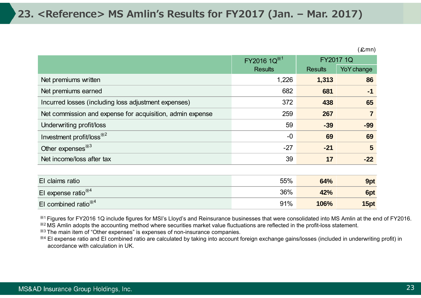|                                                           | FY2016 1Q <sup>*1</sup> | <b>FY2017 1Q</b> |                         |
|-----------------------------------------------------------|-------------------------|------------------|-------------------------|
|                                                           | <b>Results</b>          | <b>Results</b>   | YoY change              |
| Net premiums written                                      | 1,226                   | 1,313            | 86                      |
| Net premiums earned                                       | 682                     | 681              | $-1$                    |
| Incurred losses (including loss adjustment expenses)      | 372                     | 438              | 65                      |
| Net commission and expense for acquisition, admin expense | 259                     | 267              | $\overline{\mathbf{7}}$ |
| Underwriting profit/loss                                  | 59                      | $-39$            | $-99$                   |
| Investment profit/loss <sup>*2</sup>                      | $-0$                    | 69               | 69                      |
| Other expenses <sup>38</sup>                              | $-27$                   | $-21$            | 5                       |
| Net income/loss after tax                                 | 39                      | 17               | $-22$                   |
|                                                           |                         |                  |                         |
| El claims ratio                                           | 55%                     | 64%              | 9pt                     |
| El expense ratio $*4$                                     | 36%                     | 42%              | 6pt                     |
| El combined ratio $*4$                                    | 91%                     | 106%             | 15pt                    |

※1 Figures for FY2016 1Q include figures for MSI's Lloyd's and Reinsurance businesses that were consolidated into MS Amlin at the end of FY2016. ※2 MS Amlin adopts the accounting method where securities market value fluctuations are reflected in the profit-loss statement.

※3 The main item of "Other expenses" is expenses of non-insurance companies.

※4 EI expense ratio and EI combined ratio are calculated by taking into account foreign exchange gains/losses (included in underwriting profit) in accordance with calculation in UK.

 $(£mn)$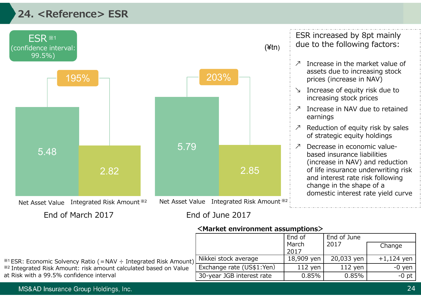# **24. <Reference> ESR**



End of March 2017

End of June 2017

**<Market environment assumptions>**

|                                                                              |                           | End of        | End of June |              |
|------------------------------------------------------------------------------|---------------------------|---------------|-------------|--------------|
|                                                                              |                           | March<br>2017 | 2017        | Change       |
|                                                                              |                           |               |             |              |
| *1 ESR: Economic Solvency Ratio ( = NAV ÷ Integrated Risk Amount) L          | Nikkei stock average      | 18,909 yen    | 20,033 yen  | $+1,124$ yen |
| <sup>282</sup> Integrated Risk Amount: risk amount calculated based on Value | Exchange rate (US\$1:Yen) | $112$ yen     | $112$ yen   | $-0$ yen     |
| at Risk with a 99.5% confidence interval                                     | 30-year JGB interest rate | 0.85%         | $0.85\%$    | $-0$ pt $ $  |

#### MS&AD Insurance Group Holdings, Inc.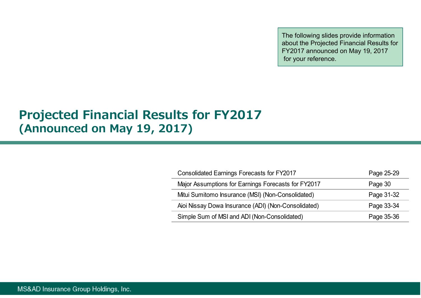The following slides provide information about the Projected Financial Results for FY2017 announced on May 19, 2017 for your reference.

# **Projected Financial Results for FY2017 (Announced on May 19, 2017)**

| <b>Consolidated Earnings Forecasts for FY2017</b>   | Page 25-29 |
|-----------------------------------------------------|------------|
| Major Assumptions for Earnings Forecasts for FY2017 | Page 30    |
| Mitui Sumitomo Insurance (MSI) (Non-Consolidated)   | Page 31-32 |
| Aioi Nissay Dowa Insurance (ADI) (Non-Consolidated) | Page 33-34 |
| Simple Sum of MSI and ADI (Non-Consolidated)        | Page 35-36 |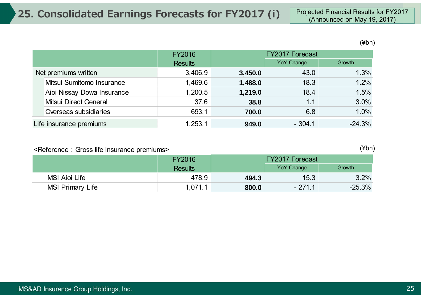(¥bn)

|                         |                            | FY2016         | <b>FY2017 Forecast</b> |            |          |
|-------------------------|----------------------------|----------------|------------------------|------------|----------|
|                         |                            | <b>Results</b> |                        | YoY Change | Growth   |
| Net premiums written    |                            | 3,406.9        | 3,450.0                | 43.0       | 1.3%     |
|                         | Mitsui Sumitomo Insurance  | 1,469.6        | 1,488.0                | 18.3       | 1.2%     |
|                         | Aioi Nissay Dowa Insurance | 1,200.5        | 1,219.0                | 18.4       | 1.5%     |
|                         | Mitsui Direct General      | 37.6           | 38.8                   | 1.1        | 3.0%     |
|                         | Overseas subsidiaries      | 693.1          | 700.0                  | 6.8        | 1.0%     |
| Life insurance premiums |                            | 1,253.1        | 949.0                  | $-304.1$   | $-24.3%$ |

#### <Reference: Gross life insurance premiums>

(¥bn)

|                         | <b>FY2016</b>  | <b>FY2017 Forecast</b> |            |          |
|-------------------------|----------------|------------------------|------------|----------|
|                         | <b>Results</b> |                        | YoY Change | Growth   |
| MSI Aioi Life           | 478.9          | 494.3                  | 15.3       | 3.2%     |
| <b>MSI Primary Life</b> | 1,071.1        | 800.0                  | $-271.1$   | $-25.3%$ |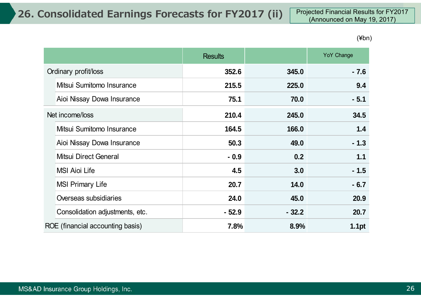(¥bn)

|                                  | <b>Results</b> |         | YoY Change        |
|----------------------------------|----------------|---------|-------------------|
| Ordinary profit/loss             | 352.6          | 345.0   | $-7.6$            |
| Mitsui Sumitomo Insurance        | 215.5          | 225.0   | 9.4               |
| Aioi Nissay Dowa Insurance       | 75.1           | 70.0    | $-5.1$            |
| Net income/loss                  | 210.4          | 245.0   | 34.5              |
| Mitsui Sumitomo Insurance        | 164.5          | 166.0   | 1.4               |
| Aioi Nissay Dowa Insurance       | 50.3           | 49.0    | $-1.3$            |
| Mitsui Direct General            | $-0.9$         | 0.2     | 1.1               |
| <b>MSI Aioi Life</b>             | 4.5            | 3.0     | $-1.5$            |
| <b>MSI Primary Life</b>          | 20.7           | 14.0    | $-6.7$            |
| Overseas subsidiaries            | 24.0           | 45.0    | 20.9              |
| Consolidation adjustments, etc.  | $-52.9$        | $-32.2$ | 20.7              |
| ROE (financial accounting basis) | 7.8%           | 8.9%    | 1.1 <sub>pt</sub> |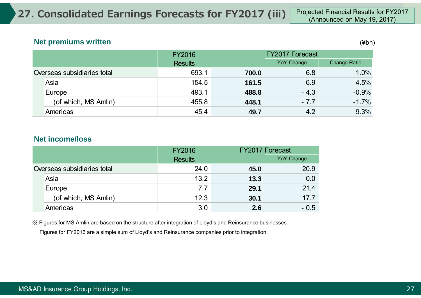#### **Net premiums written** (¥bn)

|                             | <b>FY2016</b>  |       | <b>FY2017 Forecast</b> |                     |  |
|-----------------------------|----------------|-------|------------------------|---------------------|--|
|                             | <b>Results</b> |       | YoY Change             | <b>Change Ratio</b> |  |
| Overseas subsidiaries total | 693.1          | 700.0 | 6.8                    | 1.0%                |  |
| Asia                        | 154.5          | 161.5 | 6.9                    | 4.5%                |  |
| Europe                      | 493.1          | 488.8 | $-4.3$                 | $-0.9%$             |  |
| (of which, MS Amlin)        | 455.8          | 448.1 | $-7.7$                 | $-1.7%$             |  |
| Americas                    | 45.4           | 49.7  | 4.2                    | 9.3%                |  |

#### **Net income/loss**

|                             |                      | <b>FY2016</b>  |      | <b>FY2017 Forecast</b> |
|-----------------------------|----------------------|----------------|------|------------------------|
|                             |                      | <b>Results</b> |      | <b>YoY Change</b>      |
| Overseas subsidiaries total |                      | 24.0           | 45.0 | 20.9                   |
|                             | Asia                 | 13.2           | 13.3 | 0.0                    |
|                             | Europe               | 7.7            | 29.1 | 21.4                   |
|                             | (of which, MS Amlin) | 12.3           | 30.1 | 17.7                   |
|                             | Americas             | 3.0            | 2.6  | $-0.5$                 |

※ Figures for MS Amlin are based on the structure after integration of Lloyd's and Reinsurance businesses.

Figures for FY2016 are a simple sum of Lloyd's and Reinsurance companies prior to integration.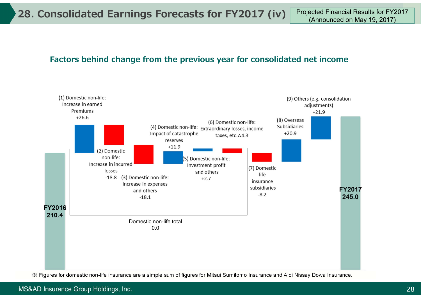### **Factors behind change from the previous year for consolidated net income**



※ Figures for domestic non-life insurance are a simple sum of figures for Mitsui Sumitomo Insurance and Aioi Nissay Dowa Insurance.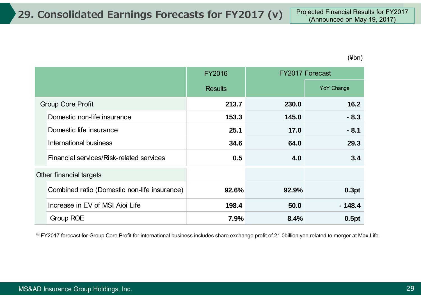(¥bn)

|                                              | <b>FY2016</b>  |       | <b>FY2017 Forecast</b> |
|----------------------------------------------|----------------|-------|------------------------|
|                                              | <b>Results</b> |       | YoY Change             |
| <b>Group Core Profit</b>                     | 213.7          | 230.0 | 16.2                   |
| Domestic non-life insurance                  | 153.3          | 145.0 | $-8.3$                 |
| Domestic life insurance                      | 25.1           | 17.0  | $-8.1$                 |
| International business                       | 34.6           | 64.0  | 29.3                   |
| Financial services/Risk-related services     | 0.5            | 4.0   | 3.4                    |
| Other financial targets                      |                |       |                        |
| Combined ratio (Domestic non-life insurance) | 92.6%          | 92.9% | 0.3pt                  |
| Increase in EV of MSI Aioi Life              | 198.4          | 50.0  | $-148.4$               |
| Group ROE                                    | 7.9%           | 8.4%  | 0.5pt                  |

※ FY2017 forecast for Group Core Profit for international business includes share exchange profit of 21.0billion yen related to merger at Max Life.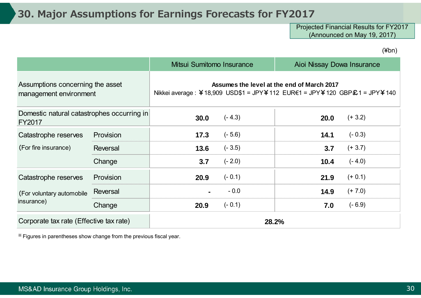### **30. Major Assumptions for Earnings Forecasts for FY2017**

Projected Financial Results for FY2017 (Announced on May 19, 2017)

(¥bn)

|                                                             |                 |                                                                                                                         | Mitsui Sumitomo Insurance<br>Aioi Nissay Dowa Insurance |      |           |  |
|-------------------------------------------------------------|-----------------|-------------------------------------------------------------------------------------------------------------------------|---------------------------------------------------------|------|-----------|--|
| Assumptions concerning the asset<br>management environment  |                 | Assumes the level at the end of March 2017<br>Nikkei average : ¥18,909 USD\$1 = JPY¥112 EUR€1 = JPY¥120 GBP£1 = JPY¥140 |                                                         |      |           |  |
| Domestic natural catastrophes occurring in<br><b>FY2017</b> |                 | 30.0                                                                                                                    | $(-4.3)$                                                | 20.0 | $(+ 3.2)$ |  |
| Catastrophe reserves                                        | Provision       | 17.3                                                                                                                    | $(-5.6)$                                                | 14.1 | $(-0.3)$  |  |
| (For fire insurance)                                        | Reversal        | 13.6                                                                                                                    | $(-3.5)$                                                | 3.7  | $(+ 3.7)$ |  |
|                                                             | Change          | 3.7                                                                                                                     | $(-2.0)$                                                | 10.4 | $(-4.0)$  |  |
| Catastrophe reserves                                        | Provision       | 20.9                                                                                                                    | $(-0.1)$                                                | 21.9 | $(+ 0.1)$ |  |
| (For voluntary automobile                                   | <b>Reversal</b> |                                                                                                                         | $-0.0$                                                  | 14.9 | $(+ 7.0)$ |  |
| insurance)                                                  | Change          | 20.9                                                                                                                    | $(-0.1)$                                                | 7.0  | $(-6.9)$  |  |
| Corporate tax rate (Effective tax rate)                     |                 | 28.2%                                                                                                                   |                                                         |      |           |  |

※ Figures in parentheses show change from the previous fiscal year.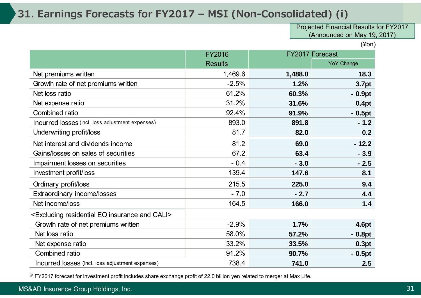### **31. Earnings Forecasts for FY2017 – MSI (Non-Consolidated) (i)**

Projected Financial Results for FY2017 (Announced on May 19, 2017)

(¥bn)

|                                                                          | <b>FY2016</b>  |         | <b>FY2017 Forecast</b> |  |
|--------------------------------------------------------------------------|----------------|---------|------------------------|--|
|                                                                          | <b>Results</b> |         | <b>YoY Change</b>      |  |
| Net premiums written                                                     | 1,469.6        | 1,488.0 | 18.3                   |  |
| Growth rate of net premiums written                                      | $-2.5%$        | 1.2%    | 3.7pt                  |  |
| Net loss ratio                                                           | 61.2%          | 60.3%   | $-0.9pt$               |  |
| Net expense ratio                                                        | 31.2%          | 31.6%   | 0.4pt                  |  |
| Combined ratio                                                           | 92.4%          | 91.9%   | $-0.5pt$               |  |
| Incurred losses (Incl. loss adjustment expenses)                         | 893.0          | 891.8   | $-1.2$                 |  |
| Underwriting profit/loss                                                 | 81.7           | 82.0    | 0.2                    |  |
| Net interest and dividends income                                        | 81.2           | 69.0    | $-12.2$                |  |
| Gains/losses on sales of securities                                      | 67.2           | 63.4    | $-3.9$                 |  |
| Impairment losses on securities                                          | $-0.4$         | $-3.0$  | $-2.5$                 |  |
| Investment profit/loss                                                   | 139.4          | 147.6   | 8.1                    |  |
| Ordinary profit/loss                                                     | 215.5          | 225.0   | 9.4                    |  |
| Extraordinary income/losses                                              | $-7.0$         | $-2.7$  | 4.4                    |  |
| Net income/loss                                                          | 164.5          | 166.0   | 1.4                    |  |
| <excluding and="" cali="" eq="" insurance="" residential=""></excluding> |                |         |                        |  |
| Growth rate of net premiums written                                      | $-2.9%$        | 1.7%    | 4.6pt                  |  |
| Net loss ratio                                                           | 58.0%          | 57.2%   | $-0.8pt$               |  |
| Net expense ratio                                                        | 33.2%          | 33.5%   | 0.3pt                  |  |
| Combined ratio                                                           | 91.2%          | 90.7%   | $-0.5pt$               |  |
| Incurred losses (Incl. loss adjustment expenses)                         | 738.4          | 741.0   | 2.5                    |  |

※ FY2017 forecast for investment profit includes share exchange profit of 22.0 billion yen related to merger at Max Life.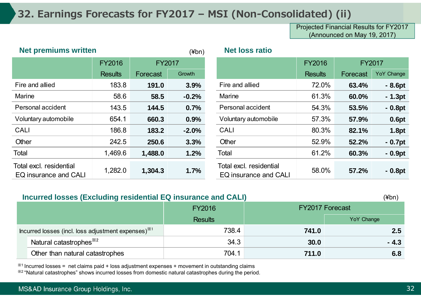## **32. Earnings Forecasts for FY2017 – MSI (Non-Consolidated) (ii)**

Projected Financial Results for FY2017 (Announced on May 19, 2017)

| <b>Net premiums written</b>                      |                | $(\nexists$ bn) | <b>Net loss ratio</b> |                                                  |                |               |            |
|--------------------------------------------------|----------------|-----------------|-----------------------|--------------------------------------------------|----------------|---------------|------------|
|                                                  | <b>FY2016</b>  | <b>FY2017</b>   |                       |                                                  | <b>FY2016</b>  | <b>FY2017</b> |            |
|                                                  | <b>Results</b> | Forecast        | Growth                |                                                  | <b>Results</b> | Forecast      | YoY Change |
| Fire and allied                                  | 183.8          | 191.0           | 3.9%                  | Fire and allied                                  | 72.0%          | 63.4%         | $-8.6pt$   |
| <b>Marine</b>                                    | 58.6           | 58.5            | $-0.2%$               | <b>Marine</b>                                    | 61.3%          | 60.0%         | $-1.3pt$   |
| Personal accident                                | 143.5          | 144.5           | 0.7%                  | Personal accident                                | 54.3%          | 53.5%         | $-0.8pt$   |
| Voluntary automobile                             | 654.1          | 660.3           | 0.9%                  | Voluntary automobile                             | 57.3%          | 57.9%         | 0.6pt      |
| <b>CALI</b>                                      | 186.8          | 183.2           | $-2.0%$               | <b>CALI</b>                                      | 80.3%          | 82.1%         | 1.8pt      |
| Other                                            | 242.5          | 250.6           | 3.3%                  | Other                                            | 52.9%          | 52.2%         | $-0.7pt$   |
| Total                                            | 1,469.6        | 1,488.0         | 1.2%                  | Total                                            | 61.2%          | 60.3%         | $-0.9pt$   |
| Total excl. residential<br>EQ insurance and CALI | 1,282.0        | 1,304.3         | 1.7%                  | Total excl. residential<br>EQ insurance and CALI | 58.0%          | 57.2%         | $-0.8pt$   |

|                                               | <b>FY2016</b>  | <b>FY2017</b> |         |                                                  |                | <b>FY2016</b> | <b>FY2017</b> |  |
|-----------------------------------------------|----------------|---------------|---------|--------------------------------------------------|----------------|---------------|---------------|--|
|                                               | <b>Results</b> | Forecast      | Growth  |                                                  | <b>Results</b> | Forecast      | YoY Change    |  |
| <b>nd allied</b>                              | 183.8          | 191.0         | 3.9%    | Fire and allied                                  | 72.0%          | 63.4%         | $-8.6pt$      |  |
| e                                             | 58.6           | 58.5          | $-0.2%$ | <b>Marine</b>                                    | 61.3%          | 60.0%         | $-1.3pt$      |  |
| onal accident                                 | 143.5          | 144.5         | 0.7%    | Personal accident                                | 54.3%          | 53.5%         | $-0.8pt$      |  |
| tary automobile                               | 654.1          | 660.3         | 0.9%    | Voluntary automobile                             | 57.3%          | 57.9%         | 0.6pt         |  |
|                                               | 186.8          | 183.2         | $-2.0%$ | <b>CALI</b>                                      | 80.3%          | 82.1%         | 1.8pt         |  |
|                                               | 242.5          | 250.6         | 3.3%    | Other                                            | 52.9%          | 52.2%         | $-0.7pt$      |  |
|                                               | 1,469.6        | 1,488.0       | 1.2%    | Total                                            | 61.2%          | 60.3%         | $-0.9pt$      |  |
| excl. residential<br><b>isurance and CALI</b> | 1,282.0        | 1,304.3       | 1.7%    | Total excl. residential<br>EQ insurance and CALI | 58.0%          | 57.2%         | $-0.8pt$      |  |

| Incurred losses (Excluding residential EQ insurance and CALI)<br>(¥bn) |                |       |                        |  |  |  |  |  |
|------------------------------------------------------------------------|----------------|-------|------------------------|--|--|--|--|--|
|                                                                        | <b>FY2016</b>  |       | <b>FY2017 Forecast</b> |  |  |  |  |  |
|                                                                        | <b>Results</b> |       | YoY Change             |  |  |  |  |  |
| Incurred losses (incl. loss adjustment expenses) <sup>**1</sup>        | 738.4          | 741.0 | <b>2.5</b>             |  |  |  |  |  |
| Natural catastrophes <sup>382</sup>                                    | 34.3           | 30.0  | $-4.3$                 |  |  |  |  |  |
| Other than natural catastrophes                                        | 704.1          | 711.0 | 6.8                    |  |  |  |  |  |

 $*1$  Incurred losses = net claims paid + loss adjustment expenses + movement in outstanding claims ※2 "Natural catastrophes" shows incurred losses from domestic natural catastrophes during the period.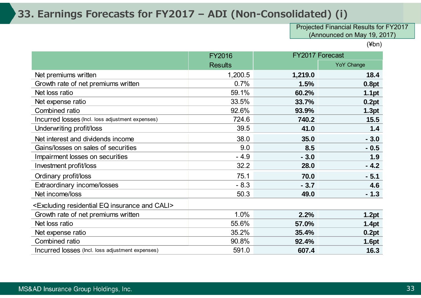### **33. Earnings Forecasts for FY2017 – ADI (Non-Consolidated) (i)**

Projected Financial Results for FY2017 (Announced on May 19, 2017)

(¥bn)

|                                                                          | <b>FY2016</b>  |         | <b>FY2017 Forecast</b> |
|--------------------------------------------------------------------------|----------------|---------|------------------------|
|                                                                          | <b>Results</b> |         | <b>YoY Change</b>      |
| Net premiums written                                                     | 1,200.5        | 1,219.0 | 18.4                   |
| Growth rate of net premiums written                                      | 0.7%           | 1.5%    | 0.8pt                  |
| Net loss ratio                                                           | 59.1%          | 60.2%   | 1.1pt                  |
| Net expense ratio                                                        | 33.5%          | 33.7%   | 0.2pt                  |
| Combined ratio                                                           | 92.6%          | 93.9%   | 1.3pt                  |
| Incurred losses (Incl. loss adjustment expenses)                         | 724.6          | 740.2   | 15.5                   |
| Underwriting profit/loss                                                 | 39.5           | 41.0    | 1.4                    |
| Net interest and dividends income                                        | 38.0           | 35.0    | $-3.0$                 |
| Gains/losses on sales of securities                                      | 9.0            | 8.5     | $-0.5$                 |
| Impairment losses on securities                                          | $-4.9$         | $-3.0$  | 1.9                    |
| Investment profit/loss                                                   | 32.2           | 28.0    | $-4.2$                 |
| Ordinary profit/loss                                                     | 75.1           | 70.0    | $-5.1$                 |
| Extraordinary income/losses                                              | $-8.3$         | $-3.7$  | 4.6                    |
| Net income/loss                                                          | 50.3           | 49.0    | $-1.3$                 |
| <excluding and="" cali="" eq="" insurance="" residential=""></excluding> |                |         |                        |
| Growth rate of net premiums written                                      | 1.0%           | 2.2%    | 1.2pt                  |
| Net loss ratio                                                           | 55.6%          | 57.0%   | 1.4pt                  |
| Net expense ratio                                                        | 35.2%          | 35.4%   | 0.2pt                  |
| Combined ratio                                                           | 90.8%          | 92.4%   | 1.6pt                  |
| Incurred losses (Incl. loss adjustment expenses)                         | 591.0          | 607.4   | 16.3                   |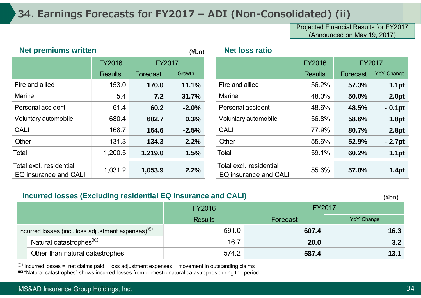### **34. Earnings Forecasts for FY2017 – ADI (Non-Consolidated) (ii)**

Projected Financial Results for FY2017 (Announced on May 19, 2017)

| <b>Net premiums written</b>                      |                |          | $(\n  4bn)$   | <b>Net loss ratio</b>                            |                                |          |                   |
|--------------------------------------------------|----------------|----------|---------------|--------------------------------------------------|--------------------------------|----------|-------------------|
|                                                  | <b>FY2016</b>  |          | <b>FY2017</b> |                                                  | <b>FY2016</b><br><b>FY2017</b> |          |                   |
|                                                  | <b>Results</b> | Forecast | Growth        |                                                  | <b>Results</b>                 | Forecast | YoY Change        |
| Fire and allied                                  | 153.0          | 170.0    | 11.1%         | Fire and allied                                  | 56.2%                          | 57.3%    | 1.1pt             |
| Marine                                           | 5.4            | 7.2      | 31.7%         | Marine                                           | 48.0%                          | 50.0%    | 2.0pt             |
| Personal accident                                | 61.4           | 60.2     | $-2.0%$       | Personal accident                                | 48.6%                          | 48.5%    | $-0.1pt$          |
| Voluntary automobile                             | 680.4          | 682.7    | 0.3%          | Voluntary automobile                             | 56.8%                          | 58.6%    | 1.8pt             |
| <b>CALI</b>                                      | 168.7          | 164.6    | $-2.5%$       | <b>CALI</b>                                      | 77.9%                          | 80.7%    | 2.8pt             |
| Other                                            | 131.3          | 134.3    | 2.2%          | Other                                            | 55.6%                          | 52.9%    | $-2.7pt$          |
| Total                                            | 1,200.5        | 1,219.0  | 1.5%          | Total                                            | 59.1%                          | 60.2%    | 1.1 <sub>pt</sub> |
| Total excl. residential<br>EQ insurance and CALI | 1,031.2        | 1,053.9  | 2.2%          | Total excl. residential<br>EQ insurance and CALI | 55.6%                          | 57.0%    | 1.4pt             |

#### **Incurred losses (Excluding residential EQ insurance and CALI)**

FY2016 Results Forecast YoY Change Incurred losses (incl. loss adjustment expenses)<sup>※1</sup> and the set of the set of the set of the set of the set of the set of the set of the set of the set of the set of the set of the set of the set of the set of the set of **Natural catastrophes<sup>※2</sup> 16.7 <b>20.0 20.0 20.0 20.2** Other than natural catastrophes **574.2** 574.2 **587.4** 587.4 **13.1** FY2017 (¥bn)

 $*1$  Incurred losses = net claims paid + loss adjustment expenses + movement in outstanding claims ※2 "Natural catastrophes" shows incurred losses from domestic natural catastrophes during the period.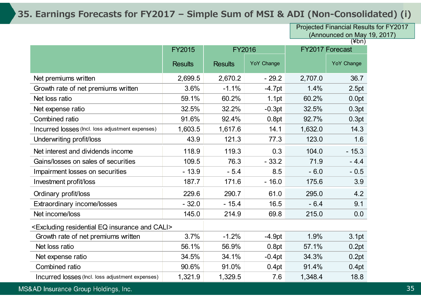### **35. Earnings Forecasts for FY2017 – Simple Sum of MSI & ADI (Non-Consolidated) (i)**

Projected Financial Results for FY2017 (Announced on May 19, 2017)

|                                                                          | <b>FY2015</b>  | <b>FY2016</b>  |                   |         | FY2017 Forecast   |
|--------------------------------------------------------------------------|----------------|----------------|-------------------|---------|-------------------|
|                                                                          | <b>Results</b> | <b>Results</b> | <b>YoY Change</b> |         | <b>YoY Change</b> |
| Net premiums written                                                     | 2,699.5        | 2,670.2        | $-29.2$           | 2,707.0 | 36.7              |
| Growth rate of net premiums written                                      | 3.6%           | $-1.1%$        | $-4.7pt$          | 1.4%    | 2.5pt             |
| Net loss ratio                                                           | 59.1%          | 60.2%          | 1.1pt             | 60.2%   | 0.0pt             |
| Net expense ratio                                                        | 32.5%          | 32.2%          | $-0.3pt$          | 32.5%   | 0.3pt             |
| Combined ratio                                                           | 91.6%          | 92.4%          | 0.8pt             | 92.7%   | 0.3pt             |
| Incurred losses (Incl. loss adjustment expenses)                         | 1,603.5        | 1,617.6        | 14.1              | 1,632.0 | 14.3              |
| Underwriting profit/loss                                                 | 43.9           | 121.3          | 77.3              | 123.0   | 1.6               |
| Net interest and dividends income                                        | 118.9          | 119.3          | 0.3               | 104.0   | $-15.3$           |
| Gains/losses on sales of securities                                      | 109.5          | 76.3           | $-33.2$           | 71.9    | $-4.4$            |
| Impairment losses on securities                                          | $-13.9$        | $-5.4$         | 8.5               | $-6.0$  | $-0.5$            |
| Investment profit/loss                                                   | 187.7          | 171.6          | $-16.0$           | 175.6   | 3.9               |
| Ordinary profit/loss                                                     | 229.6          | 290.7          | 61.0              | 295.0   | 4.2               |
| Extraordinary income/losses                                              | $-32.0$        | $-15.4$        | 16.5              | $-6.4$  | 9.1               |
| Net income/loss                                                          | 145.0          | 214.9          | 69.8              | 215.0   | 0.0               |
| <excluding and="" cali="" eq="" insurance="" residential=""></excluding> |                |                |                   |         |                   |
| Growth rate of net premiums written                                      | 3.7%           | $-1.2%$        | $-4.9pt$          | 1.9%    | 3.1pt             |
| Net loss ratio                                                           | 56.1%          | 56.9%          | 0.8pt             | 57.1%   | 0.2pt             |
| Net expense ratio                                                        | 34.5%          | 34.1%          | $-0.4pt$          | 34.3%   | 0.2pt             |
| Combined ratio                                                           | 90.6%          | 91.0%          | 0.4pt             | 91.4%   | 0.4pt             |
| Incurred losses (Incl. loss adjustment expenses)                         | 1,321.9        | 1,329.5        | 7.6               | 1,348.4 | 18.8              |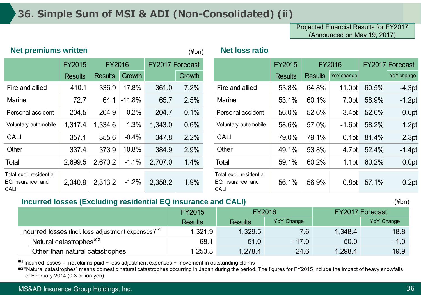### **36. Simple Sum of MSI & ADI (Non-Consolidated) (ii)**

Projected Financial Results for FY2017 (Announced on May 19, 2017)

| <b>Net premiums written</b><br>$(\n  4bn)$ |                |               |               | <b>Net loss ratio</b>          |                                                            |                |                        |            |       |                                                             |
|--------------------------------------------|----------------|---------------|---------------|--------------------------------|------------------------------------------------------------|----------------|------------------------|------------|-------|-------------------------------------------------------------|
| <b>FY2015</b>                              |                |               |               | <b>FY2015</b><br><b>FY2016</b> |                                                            |                | <b>FY2017 Forecast</b> |            |       |                                                             |
| <b>Results</b>                             | <b>Results</b> | <b>Growth</b> |               | <b>Growth</b>                  |                                                            | <b>Results</b> | <b>Results</b>         | YoY change |       | YoY change                                                  |
| 410.1                                      | 336.9          | $-17.8%$      | 361.0         | 7.2%                           | Fire and allied                                            | 53.8%          | 64.8%                  | 11.0pt     | 60.5% | $-4.3pt$                                                    |
| 72.7                                       | 64.1           | $-11.8%$      | 65.7          | 2.5%                           | Marine                                                     | 53.1%          | 60.1%                  | 7.0pt      | 58.9% | $-1.2pt$                                                    |
| 204.5                                      | 204.9          | 0.2%          | 204.7         | $-0.1%$                        | Personal accident                                          | 56.0%          | 52.6%                  |            | 52.0% | $-0.6pt$                                                    |
| 1,317.4                                    | 1,334.6        | 1.3%          | 1,343.0       | 0.6%                           | Voluntary automobile                                       | 58.6%          | 57.0%                  |            |       | 1.2pt                                                       |
| 357.1                                      | 355.6          | $-0.4%$       | 347.8         | $-2.2%$                        | <b>CALI</b>                                                | 79.0%          | 79.1%                  |            | 81.4% | 2.3pt                                                       |
| 337.4                                      | 373.9          | 10.8%         | 384.9         | 2.9%                           | Other                                                      | 49.1%          | 53.8%                  |            | 52.4% | $-1.4pt$                                                    |
| 2,699.5                                    | 2,670.2        | $-1.1\%$      | 2,707.0       | 1.4%                           | Total                                                      | 59.1%          | 60.2%                  |            |       | 0.0pt                                                       |
| 2,340.9                                    | 2,313.2        | $-1.2%$       | 2,358.2       | 1.9%                           | Total excl. residential<br>EQ insurance and<br><b>CALI</b> | 56.1%          | 56.9%                  | 0.8pt      | 57.1% | 0.2pt                                                       |
|                                            |                |               | <b>FY2016</b> |                                | <b>FY2017 Forecast</b>                                     |                |                        |            |       | $-3.4pt$<br>$-1.6pt$ 58.2%<br>0.1pt<br>4.7pt<br>1.1pt 60.2% |

#### **Incurred losses (Excluding residential EQ insurance and CALI)**

|                                                                | <b>FY2015</b>  |                | <b>FY2016</b> |         | <b>FY2017 Forecast</b> |
|----------------------------------------------------------------|----------------|----------------|---------------|---------|------------------------|
|                                                                | <b>Results</b> | <b>Results</b> | YoY Change    |         | YoY Change             |
| Incurred losses (lncl. loss adjustment expenses) <sup>**</sup> | 1,321.9        | 1,329.5        | 7.6           | 1,348.4 | 18.8                   |
| Natural catastrophes <sup>**2</sup>                            | 68.1           | 51.0           | $-17.0$       | 50.0    | $-1.0$                 |
| Other than natural catastrophes                                | 1,253.8        | 1,278.4        | 24.6          | 1,298.4 | 19.9                   |

 $*1$  Incurred losses = net claims paid + loss adjustment expenses + movement in outstanding claims

※2 "Natural catastrophes" means domestic natural catastrophes occurring in Japan during the period. The figures for FY2015 include the impact of heavy snowfalls of February 2014 (0.3 billion yen).

(¥bn)